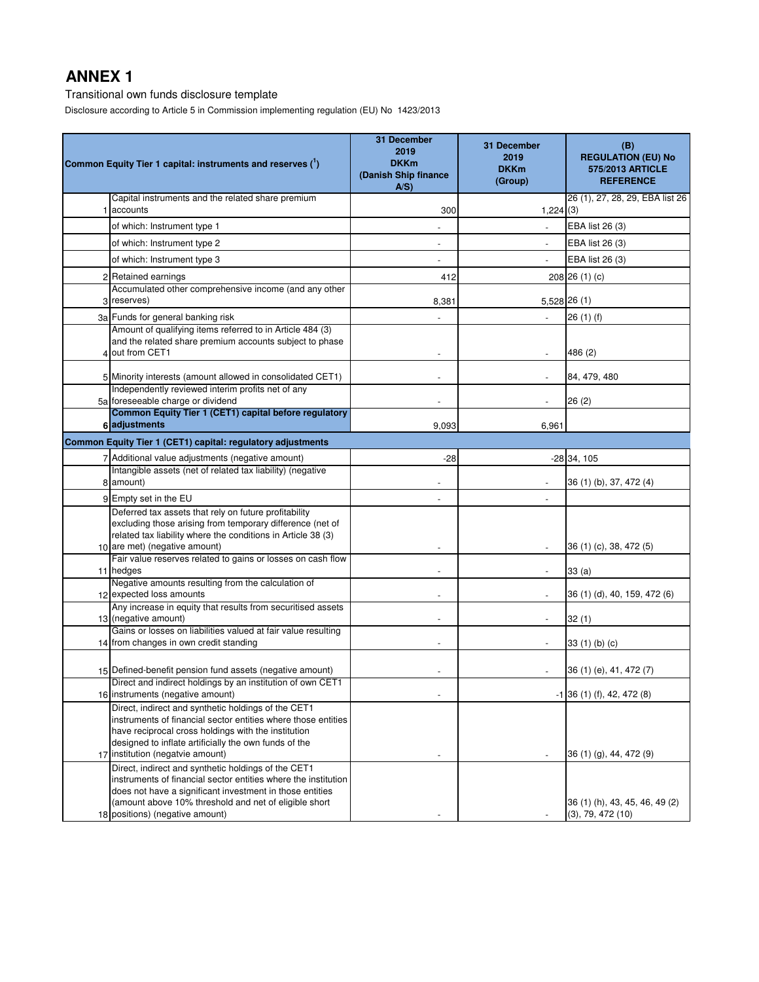Transitional own funds disclosure template

Disclosure according to Article 5 in Commission implementing regulation (EU) No 1423/2013

|   | Common Equity Tier 1 capital: instruments and reserves (1)                                                                                                                                                                                                                    | 31 December<br>2019<br><b>DKKm</b><br>(Danish Ship finance<br>A/S | 31 December<br>2019<br><b>DKKm</b><br>(Group) | (B)<br><b>REGULATION (EU) No</b><br>575/2013 ARTICLE<br><b>REFERENCE</b> |
|---|-------------------------------------------------------------------------------------------------------------------------------------------------------------------------------------------------------------------------------------------------------------------------------|-------------------------------------------------------------------|-----------------------------------------------|--------------------------------------------------------------------------|
|   | Capital instruments and the related share premium<br>accounts                                                                                                                                                                                                                 | 300                                                               | 1,224(3)                                      | 26 (1), 27, 28, 29, EBA list 26                                          |
|   | of which: Instrument type 1                                                                                                                                                                                                                                                   |                                                                   |                                               | EBA list 26 (3)                                                          |
|   | of which: Instrument type 2                                                                                                                                                                                                                                                   |                                                                   | $\sim$                                        | EBA list 26 (3)                                                          |
|   | of which: Instrument type 3                                                                                                                                                                                                                                                   |                                                                   |                                               | EBA list 26 (3)                                                          |
|   | 2 Retained earnings                                                                                                                                                                                                                                                           | 412                                                               |                                               | 208 26 (1) (c)                                                           |
| 3 | Accumulated other comprehensive income (and any other<br>reserves)                                                                                                                                                                                                            | 8,381                                                             |                                               | 5,528 26 (1)                                                             |
|   | 3a Funds for general banking risk                                                                                                                                                                                                                                             |                                                                   | $\overline{a}$                                | 26(1)(f)                                                                 |
|   | Amount of qualifying items referred to in Article 484 (3)<br>and the related share premium accounts subject to phase<br>out from CET1                                                                                                                                         |                                                                   |                                               | 486 (2)                                                                  |
|   | 5 Minority interests (amount allowed in consolidated CET1)                                                                                                                                                                                                                    | $\overline{\phantom{a}}$                                          | $\overline{\phantom{a}}$                      | 84, 479, 480                                                             |
|   | Independently reviewed interim profits net of any<br>5a foreseeable charge or dividend                                                                                                                                                                                        |                                                                   |                                               | 26(2)                                                                    |
|   | Common Equity Tier 1 (CET1) capital before regulatory<br>6 adjustments                                                                                                                                                                                                        | 9,093                                                             | 6,961                                         |                                                                          |
|   | Common Equity Tier 1 (CET1) capital: regulatory adjustments                                                                                                                                                                                                                   |                                                                   |                                               |                                                                          |
|   | 7 Additional value adjustments (negative amount)                                                                                                                                                                                                                              | -28                                                               |                                               | $-28$ 34, 105                                                            |
|   | Intangible assets (net of related tax liability) (negative<br>8 amount)                                                                                                                                                                                                       |                                                                   |                                               | 36 (1) (b), 37, 472 (4)                                                  |
|   | 9 Empty set in the EU                                                                                                                                                                                                                                                         |                                                                   |                                               |                                                                          |
|   | Deferred tax assets that rely on future profitability<br>excluding those arising from temporary difference (net of<br>related tax liability where the conditions in Article 38 (3)<br>10 are met) (negative amount)                                                           |                                                                   |                                               | 36 (1) (c), 38, 472 (5)                                                  |
|   | Fair value reserves related to gains or losses on cash flow<br>11 hedges                                                                                                                                                                                                      |                                                                   |                                               | 33(a)                                                                    |
|   | Negative amounts resulting from the calculation of<br>12 expected loss amounts                                                                                                                                                                                                |                                                                   |                                               | 36 (1) (d), 40, 159, 472 (6)                                             |
|   | Any increase in equity that results from securitised assets<br>13 (negative amount)                                                                                                                                                                                           |                                                                   |                                               | 32(1)                                                                    |
|   | Gains or losses on liabilities valued at fair value resulting<br>14 from changes in own credit standing                                                                                                                                                                       |                                                                   |                                               | 33 (1) (b) (c)                                                           |
|   | 15 Defined-benefit pension fund assets (negative amount)                                                                                                                                                                                                                      |                                                                   |                                               | 36 (1) (e), 41, 472 (7)                                                  |
|   | Direct and indirect holdings by an institution of own CET1<br>16 instruments (negative amount)                                                                                                                                                                                |                                                                   |                                               | $-1$ 36 (1) (f), 42, 472 (8)                                             |
|   | Direct, indirect and synthetic holdings of the CET1<br>instruments of financial sector entities where those entities<br>have reciprocal cross holdings with the institution<br>designed to inflate artificially the own funds of the<br>17 institution (negatvie amount)      |                                                                   |                                               | 36 (1) (g), 44, 472 (9)                                                  |
|   | Direct, indirect and synthetic holdings of the CET1<br>instruments of financial sector entities where the institution<br>does not have a significant investment in those entities<br>(amount above 10% threshold and net of eligible short<br>18 positions) (negative amount) |                                                                   |                                               | 36 (1) (h), 43, 45, 46, 49 (2)<br>(3), 79, 472(10)                       |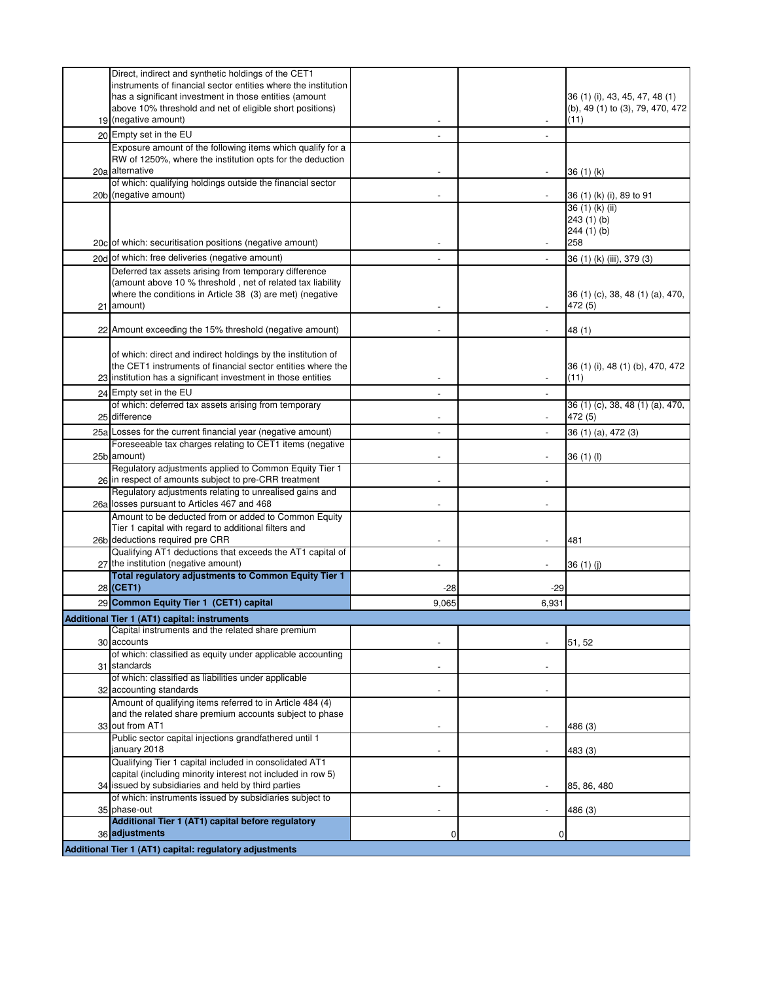| Direct, indirect and synthetic holdings of the CET1<br>instruments of financial sector entities where the institution |                          |                          |                                  |
|-----------------------------------------------------------------------------------------------------------------------|--------------------------|--------------------------|----------------------------------|
| has a significant investment in those entities (amount                                                                |                          |                          | 36 (1) (i), 43, 45, 47, 48 (1)   |
| above 10% threshold and net of eligible short positions)                                                              |                          |                          | (b), 49 (1) to (3), 79, 470, 472 |
| 19 (negative amount)                                                                                                  |                          |                          | (11)                             |
| 20 Empty set in the EU                                                                                                | $\overline{\phantom{a}}$ |                          |                                  |
| Exposure amount of the following items which qualify for a                                                            |                          |                          |                                  |
| RW of 1250%, where the institution opts for the deduction                                                             |                          |                          |                                  |
| 20a alternative<br>of which: qualifying holdings outside the financial sector                                         |                          |                          | 36(1)(k)                         |
| 20b (negative amount)                                                                                                 |                          |                          | 36 (1) (k) (i), 89 to 91         |
|                                                                                                                       |                          |                          | 36 (1) (k) (ii)                  |
|                                                                                                                       |                          |                          | 243(1)(b)                        |
|                                                                                                                       |                          |                          | 244(1)(b)                        |
| 20c of which: securitisation positions (negative amount)                                                              |                          |                          | 258                              |
| 20d of which: free deliveries (negative amount)                                                                       |                          |                          | 36 (1) (k) (iii), 379 (3)        |
| Deferred tax assets arising from temporary difference                                                                 |                          |                          |                                  |
| (amount above 10 % threshold, net of related tax liability                                                            |                          |                          |                                  |
| where the conditions in Article 38 (3) are met) (negative                                                             |                          |                          | 36 (1) (c), 38, 48 (1) (a), 470, |
| 21 amount)                                                                                                            |                          | $\overline{\phantom{a}}$ | 472 (5)                          |
| 22 Amount exceeding the 15% threshold (negative amount)                                                               |                          |                          | 48 (1)                           |
|                                                                                                                       |                          |                          |                                  |
| of which: direct and indirect holdings by the institution of                                                          |                          |                          |                                  |
| the CET1 instruments of financial sector entities where the                                                           |                          |                          | 36 (1) (i), 48 (1) (b), 470, 472 |
| 23 institution has a significant investment in those entities                                                         |                          |                          | (11)                             |
| 24 Empty set in the EU                                                                                                |                          |                          |                                  |
| of which: deferred tax assets arising from temporary                                                                  |                          |                          | 36 (1) (c), 38, 48 (1) (a), 470, |
| 25 difference                                                                                                         | $\overline{\phantom{a}}$ | $\overline{\phantom{a}}$ | 472 (5)                          |
| 25a Losses for the current financial year (negative amount)                                                           |                          | $\overline{\phantom{a}}$ | 36 (1) (a), 472 (3)              |
| Foreseeable tax charges relating to CET1 items (negative                                                              |                          |                          |                                  |
| 25b amount)                                                                                                           |                          |                          | 36(1)(1)                         |
| Regulatory adjustments applied to Common Equity Tier 1<br>26 in respect of amounts subject to pre-CRR treatment       |                          |                          |                                  |
| Regulatory adjustments relating to unrealised gains and                                                               |                          |                          |                                  |
| 26a losses pursuant to Articles 467 and 468                                                                           |                          |                          |                                  |
| Amount to be deducted from or added to Common Equity                                                                  |                          |                          |                                  |
| Tier 1 capital with regard to additional filters and                                                                  |                          |                          |                                  |
| 26b deductions required pre CRR                                                                                       |                          |                          | 481                              |
| Qualifying AT1 deductions that exceeds the AT1 capital of                                                             |                          |                          |                                  |
| 27 the institution (negative amount)                                                                                  |                          |                          | 36(1)(j)                         |
| Total regulatory adjustments to Common Equity Tier 1<br>28 (CET1)                                                     | $-28$                    | $-29$                    |                                  |
| 29 Common Equity Tier 1 (CET1) capital                                                                                |                          |                          |                                  |
|                                                                                                                       | 9,065                    | 6,931                    |                                  |
| Additional Tier 1 (AT1) capital: instruments<br>Capital instruments and the related share premium                     |                          |                          |                                  |
| 30 accounts                                                                                                           |                          |                          | 51, 52                           |
| of which: classified as equity under applicable accounting                                                            |                          |                          |                                  |
| 31 standards                                                                                                          |                          |                          |                                  |
| of which: classified as liabilities under applicable                                                                  |                          |                          |                                  |
| 32 accounting standards                                                                                               |                          |                          |                                  |
| Amount of qualifying items referred to in Article 484 (4)                                                             |                          |                          |                                  |
| and the related share premium accounts subject to phase<br>33 out from AT1                                            |                          |                          |                                  |
| Public sector capital injections grandfathered until 1                                                                |                          |                          | 486 (3)                          |
| january 2018                                                                                                          |                          |                          | 483 (3)                          |
| Qualifying Tier 1 capital included in consolidated AT1                                                                |                          |                          |                                  |
| capital (including minority interest not included in row 5)                                                           |                          |                          |                                  |
| 34 issued by subsidiaries and held by third parties                                                                   |                          |                          | 85, 86, 480                      |
| of which: instruments issued by subsidiaries subject to                                                               |                          |                          |                                  |
| 35 phase-out<br>Additional Tier 1 (AT1) capital before regulatory                                                     |                          |                          | 486 (3)                          |
| 36 adjustments                                                                                                        | 0                        | 0                        |                                  |
|                                                                                                                       |                          |                          |                                  |
| Additional Tier 1 (AT1) capital: regulatory adjustments                                                               |                          |                          |                                  |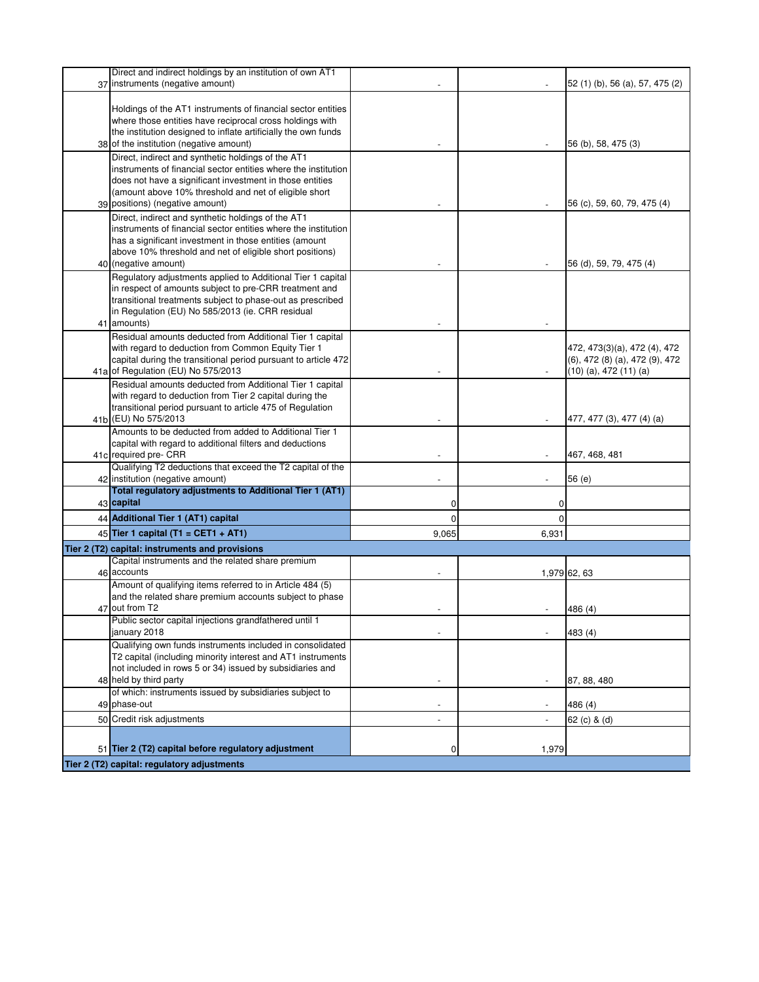| Direct and indirect holdings by an institution of own AT1                                                                |             |                          |                                           |
|--------------------------------------------------------------------------------------------------------------------------|-------------|--------------------------|-------------------------------------------|
| 37 instruments (negative amount)                                                                                         |             |                          | 52 (1) (b), 56 (a), 57, 475 (2)           |
|                                                                                                                          |             |                          |                                           |
| Holdings of the AT1 instruments of financial sector entities<br>where those entities have reciprocal cross holdings with |             |                          |                                           |
| the institution designed to inflate artificially the own funds                                                           |             |                          |                                           |
| 38 of the institution (negative amount)                                                                                  |             |                          | 56 (b), 58, 475 (3)                       |
| Direct, indirect and synthetic holdings of the AT1                                                                       |             |                          |                                           |
| instruments of financial sector entities where the institution                                                           |             |                          |                                           |
| does not have a significant investment in those entities                                                                 |             |                          |                                           |
| (amount above 10% threshold and net of eligible short                                                                    |             |                          |                                           |
| 39 positions) (negative amount)                                                                                          |             |                          | 56 (c), 59, 60, 79, 475 (4)               |
| Direct, indirect and synthetic holdings of the AT1                                                                       |             |                          |                                           |
| instruments of financial sector entities where the institution                                                           |             |                          |                                           |
| has a significant investment in those entities (amount                                                                   |             |                          |                                           |
| above 10% threshold and net of eligible short positions)                                                                 |             |                          |                                           |
| 40 (negative amount)                                                                                                     |             |                          | 56 (d), 59, 79, 475 (4)                   |
| Regulatory adjustments applied to Additional Tier 1 capital<br>in respect of amounts subject to pre-CRR treatment and    |             |                          |                                           |
| transitional treatments subject to phase-out as prescribed                                                               |             |                          |                                           |
| in Regulation (EU) No 585/2013 (ie. CRR residual                                                                         |             |                          |                                           |
| 41 amounts)                                                                                                              |             |                          |                                           |
| Residual amounts deducted from Additional Tier 1 capital                                                                 |             |                          |                                           |
| with regard to deduction from Common Equity Tier 1                                                                       |             |                          | 472, 473(3)(a), 472 (4), 472              |
| capital during the transitional period pursuant to article 472                                                           |             |                          | $(6)$ , 472 $(8)$ $(a)$ , 472 $(9)$ , 472 |
| 41a of Regulation (EU) No 575/2013                                                                                       |             |                          | $(10)$ (a), 472 $(11)$ (a)                |
| Residual amounts deducted from Additional Tier 1 capital                                                                 |             |                          |                                           |
| with regard to deduction from Tier 2 capital during the                                                                  |             |                          |                                           |
| transitional period pursuant to article 475 of Regulation<br>41b (EU) No 575/2013                                        |             |                          | 477, 477 (3), 477 (4) (a)                 |
| Amounts to be deducted from added to Additional Tier 1                                                                   |             |                          |                                           |
| capital with regard to additional filters and deductions                                                                 |             |                          |                                           |
| 41c required pre- CRR                                                                                                    |             |                          | 467, 468, 481                             |
| Qualifying T2 deductions that exceed the T2 capital of the                                                               |             |                          |                                           |
| 42 institution (negative amount)                                                                                         |             |                          | 56(e)                                     |
| Total regulatory adjustments to Additional Tier 1 (AT1)                                                                  |             |                          |                                           |
| 43 capital                                                                                                               | 0           | 0                        |                                           |
| 44 Additional Tier 1 (AT1) capital                                                                                       | $\mathbf 0$ | $\Omega$                 |                                           |
| 45 Tier 1 capital (T1 = CET1 + AT1)                                                                                      | 9,065       | 6,931                    |                                           |
| Tier 2 (T2) capital: instruments and provisions                                                                          |             |                          |                                           |
| Capital instruments and the related share premium                                                                        |             |                          |                                           |
| 46 accounts                                                                                                              |             |                          | 1,979 62, 63                              |
| Amount of qualifying items referred to in Article 484 (5)                                                                |             |                          |                                           |
| and the related share premium accounts subject to phase                                                                  |             |                          |                                           |
| 47 out from T2<br>Public sector capital injections grandfathered until 1                                                 |             |                          | 486 (4)                                   |
| january 2018                                                                                                             |             | $\overline{\phantom{a}}$ | 483 (4)                                   |
| Qualifying own funds instruments included in consolidated                                                                |             |                          |                                           |
| T2 capital (including minority interest and AT1 instruments                                                              |             |                          |                                           |
| not included in rows 5 or 34) issued by subsidiaries and                                                                 |             |                          |                                           |
| 48 held by third party                                                                                                   |             |                          | 87, 88, 480                               |
| of which: instruments issued by subsidiaries subject to                                                                  |             |                          |                                           |
| 49 phase-out                                                                                                             |             |                          | 486 (4)                                   |
| 50 Credit risk adjustments                                                                                               |             |                          | 62 (c) & (d)                              |
|                                                                                                                          |             |                          |                                           |
| 51 Tier 2 (T2) capital before regulatory adjustment                                                                      | 0           | 1,979                    |                                           |
| Tier 2 (T2) capital: regulatory adjustments                                                                              |             |                          |                                           |
|                                                                                                                          |             |                          |                                           |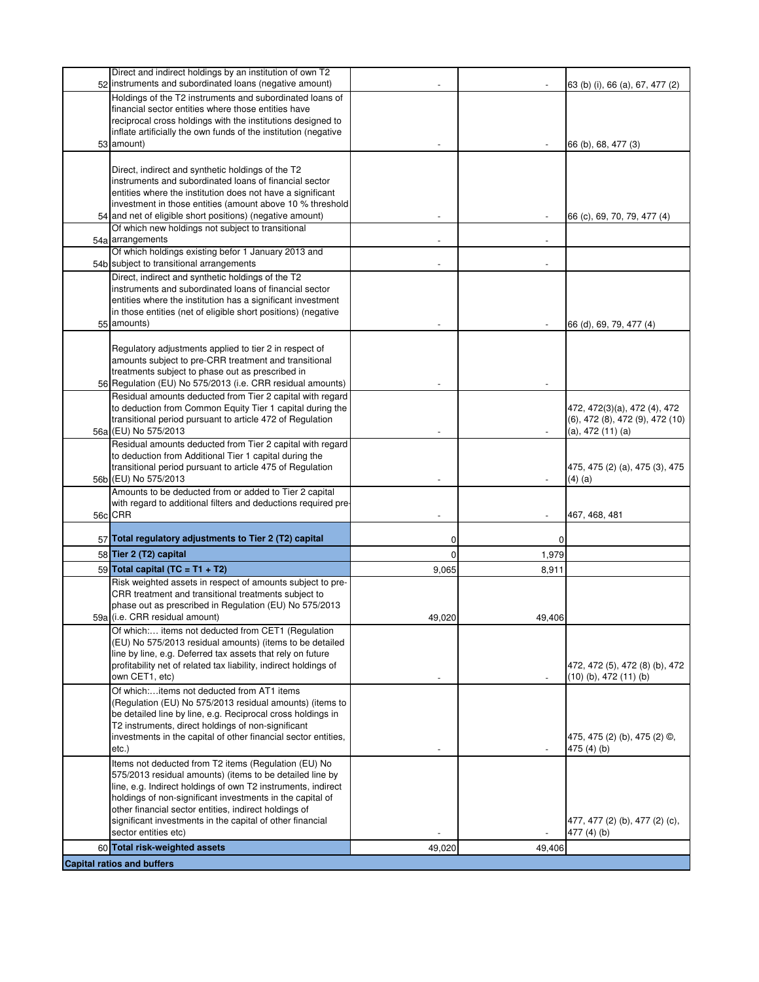| Direct and indirect holdings by an institution of own T2<br>52 instruments and subordinated loans (negative amount)          |                          |                          | 63 (b) (i), 66 (a), 67, 477 (2) |
|------------------------------------------------------------------------------------------------------------------------------|--------------------------|--------------------------|---------------------------------|
| Holdings of the T2 instruments and subordinated loans of                                                                     |                          |                          |                                 |
| financial sector entities where those entities have                                                                          |                          |                          |                                 |
| reciprocal cross holdings with the institutions designed to                                                                  |                          |                          |                                 |
| inflate artificially the own funds of the institution (negative<br>53 amount)                                                |                          |                          |                                 |
|                                                                                                                              |                          |                          | 66 (b), 68, 477 (3)             |
| Direct, indirect and synthetic holdings of the T2                                                                            |                          |                          |                                 |
| instruments and subordinated loans of financial sector                                                                       |                          |                          |                                 |
| entities where the institution does not have a significant                                                                   |                          |                          |                                 |
| investment in those entities (amount above 10 % threshold                                                                    |                          |                          |                                 |
| 54 and net of eligible short positions) (negative amount)<br>Of which new holdings not subject to transitional               |                          |                          | 66 (c), 69, 70, 79, 477 (4)     |
| 54a arrangements                                                                                                             |                          |                          |                                 |
| Of which holdings existing befor 1 January 2013 and                                                                          |                          |                          |                                 |
| 54b subject to transitional arrangements                                                                                     |                          |                          |                                 |
| Direct, indirect and synthetic holdings of the T2                                                                            |                          |                          |                                 |
| instruments and subordinated loans of financial sector                                                                       |                          |                          |                                 |
| entities where the institution has a significant investment<br>in those entities (net of eligible short positions) (negative |                          |                          |                                 |
| 55 amounts)                                                                                                                  |                          |                          | 66 (d), 69, 79, 477 (4)         |
|                                                                                                                              |                          |                          |                                 |
| Regulatory adjustments applied to tier 2 in respect of                                                                       |                          |                          |                                 |
| amounts subject to pre-CRR treatment and transitional                                                                        |                          |                          |                                 |
| treatments subject to phase out as prescribed in<br>56 Regulation (EU) No 575/2013 (i.e. CRR residual amounts)               |                          |                          |                                 |
| Residual amounts deducted from Tier 2 capital with regard                                                                    |                          |                          |                                 |
| to deduction from Common Equity Tier 1 capital during the                                                                    |                          |                          | 472, 472(3)(a), 472 (4), 472    |
| transitional period pursuant to article 472 of Regulation                                                                    |                          |                          | (6), 472 (8), 472 (9), 472 (10) |
| 56a (EU) No 575/2013                                                                                                         |                          | $\overline{\phantom{a}}$ | (a), 472 (11) (a)               |
| Residual amounts deducted from Tier 2 capital with regard                                                                    |                          |                          |                                 |
| to deduction from Additional Tier 1 capital during the<br>transitional period pursuant to article 475 of Regulation          |                          |                          | 475, 475 (2) (a), 475 (3), 475  |
| 56b (EU) No 575/2013                                                                                                         |                          |                          | $(4)$ (a)                       |
| Amounts to be deducted from or added to Tier 2 capital                                                                       |                          |                          |                                 |
| with regard to additional filters and deductions required pre-                                                               |                          |                          |                                 |
| 56c CRR                                                                                                                      |                          |                          | 467, 468, 481                   |
| 57 Total regulatory adjustments to Tier 2 (T2) capital                                                                       | 0                        | 0                        |                                 |
| 58 Tier 2 (T2) capital                                                                                                       | $\Omega$                 | 1,979                    |                                 |
| 59 Total capital (TC = T1 + T2)                                                                                              | 9,065                    | 8,911                    |                                 |
| Risk weighted assets in respect of amounts subject to pre-                                                                   |                          |                          |                                 |
| CRR treatment and transitional treatments subject to                                                                         |                          |                          |                                 |
| phase out as prescribed in Regulation (EU) No 575/2013                                                                       |                          |                          |                                 |
| 59a (i.e. CRR residual amount)                                                                                               | 49.020                   | 49.406                   |                                 |
| Of which: items not deducted from CET1 (Regulation<br>(EU) No 575/2013 residual amounts) (items to be detailed               |                          |                          |                                 |
| line by line, e.g. Deferred tax assets that rely on future                                                                   |                          |                          |                                 |
| profitability net of related tax liability, indirect holdings of                                                             |                          |                          | 472, 472 (5), 472 (8) (b), 472  |
| own CET1, etc)                                                                                                               | $\overline{\phantom{a}}$ |                          | $(10)$ (b), 472 $(11)$ (b)      |
| Of which:items not deducted from AT1 items                                                                                   |                          |                          |                                 |
| (Regulation (EU) No 575/2013 residual amounts) (items to<br>be detailed line by line, e.g. Reciprocal cross holdings in      |                          |                          |                                 |
| T2 instruments, direct holdings of non-significant                                                                           |                          |                          |                                 |
| investments in the capital of other financial sector entities,                                                               |                          |                          | 475, 475 (2) (b), 475 (2) ©,    |
| etc.                                                                                                                         |                          |                          | 475 $(4)(b)$                    |
| Items not deducted from T2 items (Regulation (EU) No                                                                         |                          |                          |                                 |
| 575/2013 residual amounts) (items to be detailed line by                                                                     |                          |                          |                                 |
| line, e.g. Indirect holdings of own T2 instruments, indirect<br>holdings of non-significant investments in the capital of    |                          |                          |                                 |
| other financial sector entities, indirect holdings of                                                                        |                          |                          |                                 |
| significant investments in the capital of other financial                                                                    |                          |                          | 477, 477 (2) (b), 477 (2) (c),  |
| sector entities etc)                                                                                                         |                          |                          | 477 (4) (b)                     |
| 60 Total risk-weighted assets                                                                                                | 49,020                   | 49,406                   |                                 |
| <b>Capital ratios and buffers</b>                                                                                            |                          |                          |                                 |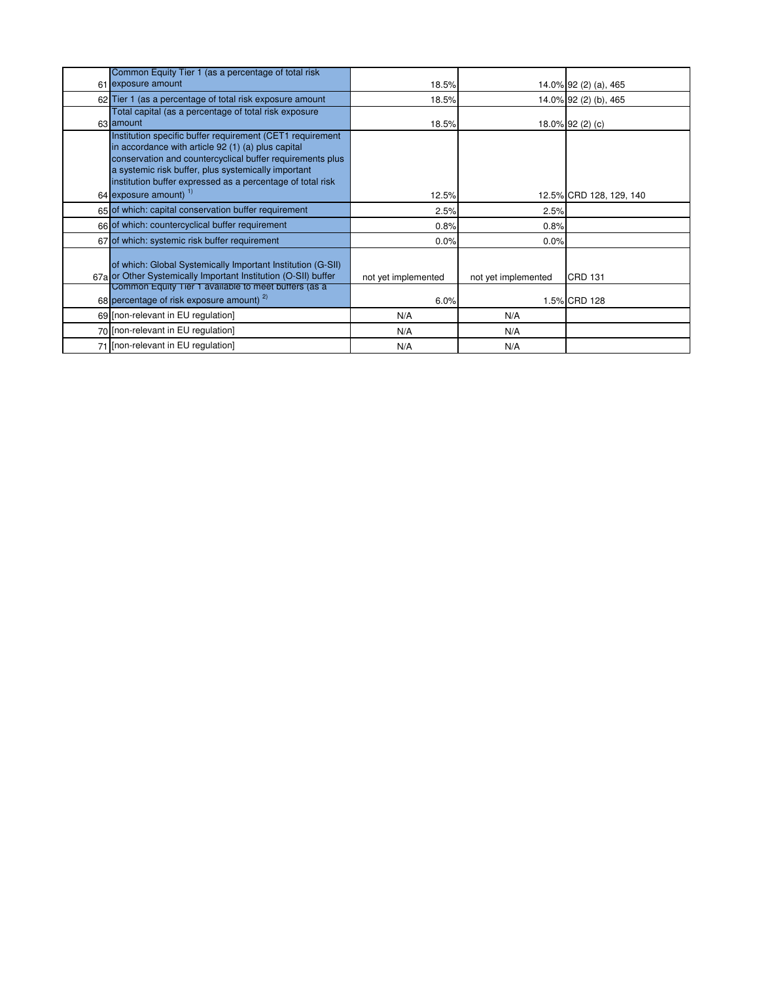| Common Equity Tier 1 (as a percentage of total risk<br>61 exposure amount                                                                                                                                                                                                                         | 18.5%               |                     | 14.0% 92 (2) (a), 465   |
|---------------------------------------------------------------------------------------------------------------------------------------------------------------------------------------------------------------------------------------------------------------------------------------------------|---------------------|---------------------|-------------------------|
| 62 Tier 1 (as a percentage of total risk exposure amount                                                                                                                                                                                                                                          | 18.5%               |                     | 14.0% 92 (2) (b), 465   |
| Total capital (as a percentage of total risk exposure<br>63 amount                                                                                                                                                                                                                                | 18.5%               |                     | 18.0% 92 (2) (c)        |
| Institution specific buffer requirement (CET1 requirement<br>in accordance with article 92 (1) (a) plus capital<br>conservation and countercyclical buffer requirements plus<br>a systemic risk buffer, plus systemically important<br>institution buffer expressed as a percentage of total risk |                     |                     |                         |
| 64 exposure amount) 1)                                                                                                                                                                                                                                                                            | 12.5%               |                     | 12.5% CRD 128, 129, 140 |
| 65 of which: capital conservation buffer requirement                                                                                                                                                                                                                                              | 2.5%                | 2.5%                |                         |
| 66 of which: countercyclical buffer requirement                                                                                                                                                                                                                                                   | 0.8%                | 0.8%                |                         |
| 67 of which: systemic risk buffer requirement                                                                                                                                                                                                                                                     | 0.0%                | 0.0%                |                         |
| of which: Global Systemically Important Institution (G-SII)<br>67a or Other Systemically Important Institution (O-SII) buffer                                                                                                                                                                     | not yet implemented | not yet implemented | <b>CRD 131</b>          |
| Common Equity Tier 1 available to meet buffers (as a<br>68 percentage of risk exposure amount) $^{2}$                                                                                                                                                                                             | 6.0%                |                     | 1.5% CRD 128            |
| 69 [non-relevant in EU regulation]                                                                                                                                                                                                                                                                | N/A                 | N/A                 |                         |
| 70 [non-relevant in EU regulation]                                                                                                                                                                                                                                                                | N/A                 | N/A                 |                         |
| 71 [non-relevant in EU regulation]                                                                                                                                                                                                                                                                | N/A                 | N/A                 |                         |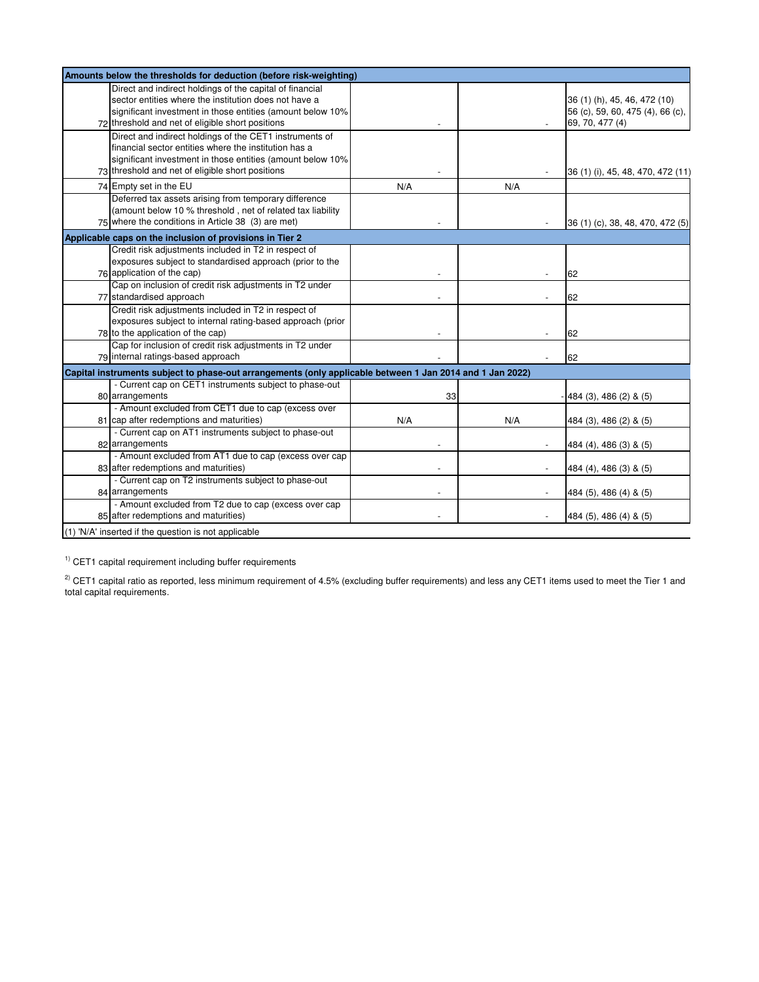| Amounts below the thresholds for deduction (before risk-weighting)                                                                                                                                                                  |     |     |                                                                                     |
|-------------------------------------------------------------------------------------------------------------------------------------------------------------------------------------------------------------------------------------|-----|-----|-------------------------------------------------------------------------------------|
| Direct and indirect holdings of the capital of financial<br>sector entities where the institution does not have a<br>significant investment in those entities (amount below 10%<br>72 threshold and net of eligible short positions |     |     | 36 (1) (h), 45, 46, 472 (10)<br>56 (c), 59, 60, 475 (4), 66 (c),<br>69, 70, 477 (4) |
| Direct and indirect holdings of the CET1 instruments of<br>financial sector entities where the institution has a<br>significant investment in those entities (amount below 10%<br>73 threshold and net of eligible short positions  |     |     | 36 (1) (i), 45, 48, 470, 472 (11)                                                   |
| 74 Empty set in the EU                                                                                                                                                                                                              | N/A | N/A |                                                                                     |
| Deferred tax assets arising from temporary difference<br>(amount below 10 % threshold, net of related tax liability<br>75 where the conditions in Article 38 (3) are met)                                                           |     |     | 36 (1) (c), 38, 48, 470, 472 (5)                                                    |
| Applicable caps on the inclusion of provisions in Tier 2                                                                                                                                                                            |     |     |                                                                                     |
| Credit risk adjustments included in T2 in respect of<br>exposures subject to standardised approach (prior to the<br>76 application of the cap)                                                                                      |     |     | 62                                                                                  |
| Cap on inclusion of credit risk adjustments in T2 under                                                                                                                                                                             |     |     |                                                                                     |
| 77 standardised approach                                                                                                                                                                                                            |     |     | 62                                                                                  |
| Credit risk adjustments included in T2 in respect of<br>exposures subject to internal rating-based approach (prior<br>78 to the application of the cap)                                                                             |     |     | 62                                                                                  |
| Cap for inclusion of credit risk adjustments in T2 under<br>79 internal ratings-based approach                                                                                                                                      |     |     | 62                                                                                  |
| Capital instruments subject to phase-out arrangements (only applicable between 1 Jan 2014 and 1 Jan 2022)                                                                                                                           |     |     |                                                                                     |
| - Current cap on CET1 instruments subject to phase-out<br>80 arrangements                                                                                                                                                           | 33  |     | 484 (3), 486 (2) & (5)                                                              |
| - Amount excluded from CET1 due to cap (excess over<br>81 cap after redemptions and maturities)<br>- Current cap on AT1 instruments subject to phase-out                                                                            | N/A | N/A | 484 (3), 486 (2) & (5)                                                              |
| 82 arrangements                                                                                                                                                                                                                     |     |     | 484 (4), 486 (3) & (5)                                                              |
| - Amount excluded from AT1 due to cap (excess over cap<br>83 after redemptions and maturities)                                                                                                                                      |     |     | 484 (4), 486 (3) & (5)                                                              |
| - Current cap on T2 instruments subject to phase-out<br>84 arrangements                                                                                                                                                             |     |     | 484 (5), 486 (4) & (5)                                                              |
| - Amount excluded from T2 due to cap (excess over cap<br>85 after redemptions and maturities)                                                                                                                                       |     |     | 484 (5), 486 (4) & (5)                                                              |
| (1) 'N/A' inserted if the question is not applicable                                                                                                                                                                                |     |     |                                                                                     |

 $1)$  CET1 capital requirement including buffer requirements

 $^{2)}$  CET1 capital ratio as reported, less minimum requirement of 4.5% (excluding buffer requirements) and less any CET1 items used to meet the Tier 1 and total capital requirements.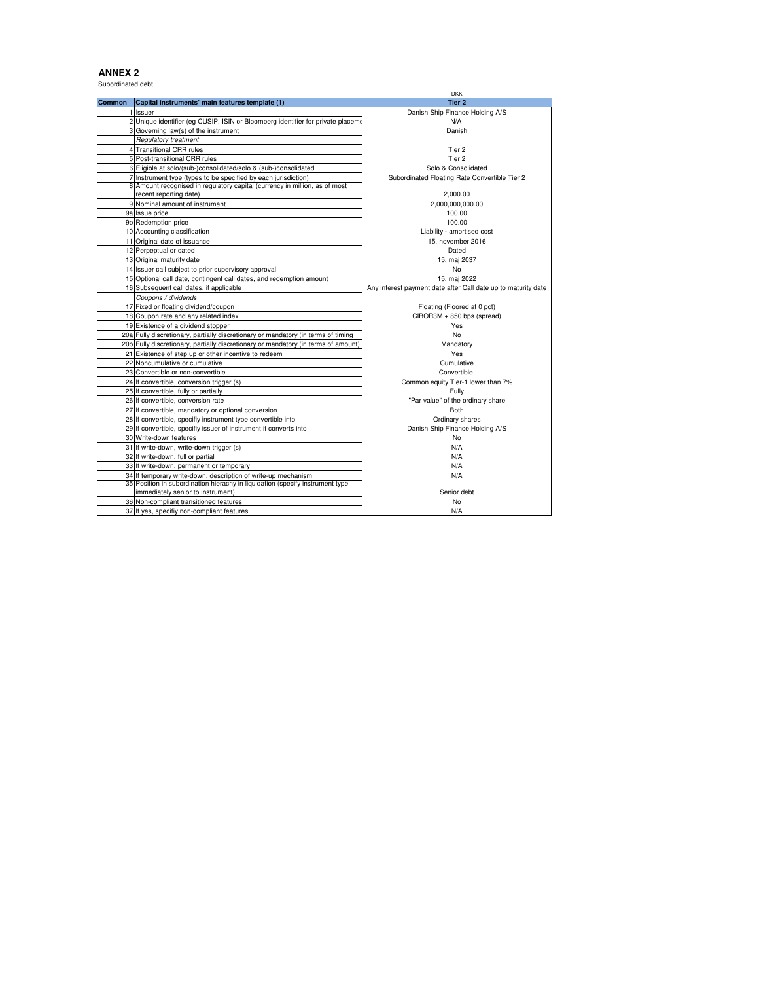Subordinated debt

|               |                                                                                    | <b>DKK</b>                                                    |
|---------------|------------------------------------------------------------------------------------|---------------------------------------------------------------|
| <b>Common</b> | Capital instruments' main features template (1)                                    | Tier 2                                                        |
|               | 1 Issuer                                                                           | Danish Ship Finance Holding A/S                               |
|               | 2 Unique identifier (eg CUSIP, ISIN or Bloomberg identifier for private placeme    | N/A                                                           |
|               | 3 Governing law(s) of the instrument                                               | Danish                                                        |
|               | <b>Regulatory treatment</b>                                                        |                                                               |
|               | 4 Transitional CRR rules                                                           | Tier 2                                                        |
|               | 5 Post-transitional CRR rules                                                      | Tier 2                                                        |
|               | 6 Eligible at solo/(sub-)consolidated/solo & (sub-)consolidated                    | Solo & Consolidated                                           |
|               | 7 Instrument type (types to be specified by each jurisdiction)                     | Subordinated Floating Rate Convertible Tier 2                 |
|               | 8 Amount recognised in regulatory capital (currency in million, as of most         |                                                               |
|               | recent reporting date)                                                             | 2.000.00                                                      |
|               | 9 Nominal amount of instrument                                                     | 2,000,000,000.00                                              |
|               | 9a Issue price                                                                     | 100.00                                                        |
|               | 9b Redemption price                                                                | 100.00                                                        |
|               | 10 Accounting classification                                                       | Liability - amortised cost                                    |
|               | 11 Original date of issuance                                                       | 15. november 2016                                             |
|               | 12 Perpeptual or dated                                                             | Dated                                                         |
|               | 13 Original maturity date                                                          | 15. maj 2037                                                  |
|               | 14 Issuer call subject to prior supervisory approval                               | No                                                            |
|               | 15 Optional call date, contingent call dates, and redemption amount                | 15. maj 2022                                                  |
|               | 16 Subsequent call dates, if applicable                                            | Any interest payment date after Call date up to maturity date |
|               | Coupons / dividends                                                                |                                                               |
|               | 17 Fixed or floating dividend/coupon                                               | Floating (Floored at 0 pct)                                   |
|               | 18 Coupon rate and any related index                                               | CIBOR3M + 850 bps (spread)                                    |
|               | 19 Existence of a dividend stopper                                                 | Yes                                                           |
|               | 20a Fully discretionary, partially discretionary or mandatory (in terms of timing  | No                                                            |
|               | 20b Fully discretionary, partially discretionary or mandatory (in terms of amount) | Mandatory                                                     |
|               | 21 Existence of step up or other incentive to redeem                               | Yes                                                           |
|               | 22 Noncumulative or cumulative                                                     | Cumulative                                                    |
|               | 23 Convertible or non-convertible                                                  | Convertible                                                   |
|               | 24 If convertible, conversion trigger (s)                                          | Common equity Tier-1 lower than 7%                            |
|               | 25 If convertible, fully or partially                                              | Fully                                                         |
|               | 26 If convertible, conversion rate                                                 | "Par value" of the ordinary share                             |
|               | 27 If convertible, mandatory or optional conversion                                | <b>Both</b>                                                   |
|               | 28 If convertible, specifiy instrument type convertible into                       | Ordinary shares                                               |
|               | 29 If convertible, specifiy issuer of instrument it converts into                  | Danish Ship Finance Holding A/S                               |
|               | 30 Write-down features                                                             | No                                                            |
|               | 31 If write-down, write-down trigger (s)                                           | N/A                                                           |
|               | 32 If write-down, full or partial                                                  | N/A                                                           |
|               | 33 If write-down, permanent or temporary                                           | N/A                                                           |
|               | 34 If temporary write-down, description of write-up mechanism                      | N/A                                                           |
|               | 35 Position in subordination hierachy in liquidation (specify instrument type      |                                                               |
|               | immediately senior to instrument)                                                  | Senior debt                                                   |
|               | 36 Non-compliant transitioned features                                             | No                                                            |
|               | 37 If yes, specifiy non-compliant features                                         | N/A                                                           |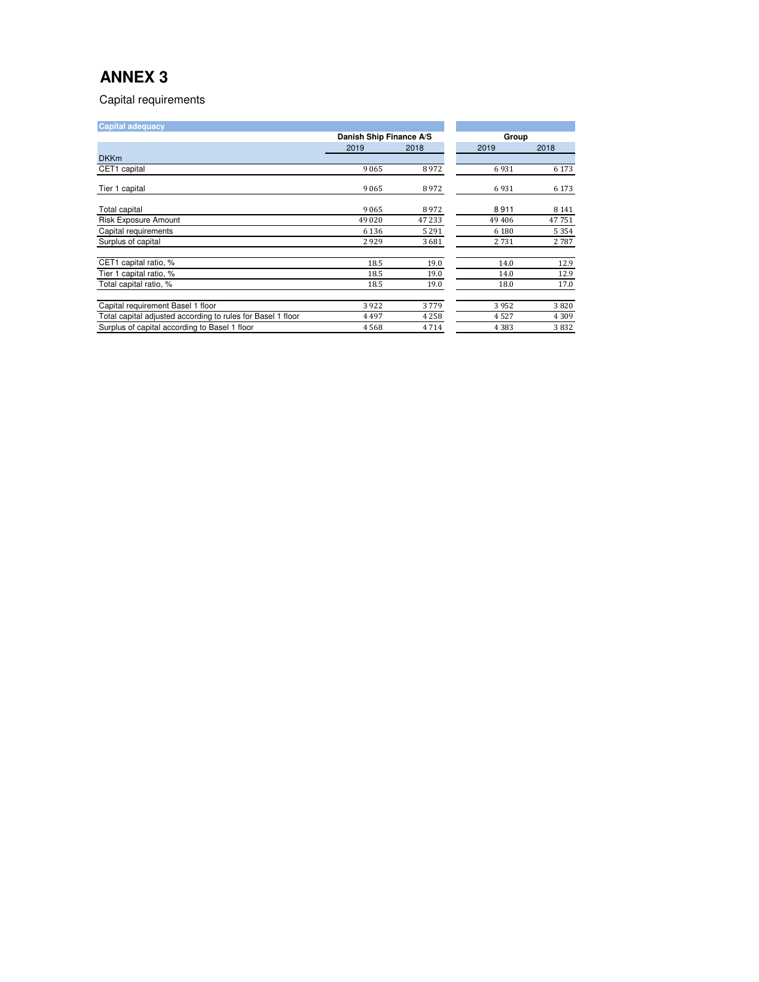Capital requirements

| <b>Capital adequacy</b>                                     |                         |         |          |         |
|-------------------------------------------------------------|-------------------------|---------|----------|---------|
|                                                             | Danish Ship Finance A/S |         | Group    |         |
|                                                             | 2019                    | 2018    | 2019     | 2018    |
| <b>DKKm</b>                                                 |                         |         |          |         |
| CET1 capital                                                | 9065                    | 8972    | 6931     | 6 1 7 3 |
| Tier 1 capital                                              | 9065                    | 8972    | 6931     | 6 1 7 3 |
| <b>Total capital</b>                                        | 9065                    | 8972    | 8911     | 8 1 4 1 |
| <b>Risk Exposure Amount</b>                                 | 49 0 20                 | 47 233  | 49 4 0 6 | 47751   |
| Capital requirements                                        | 6 1 3 6                 | 5 2 9 1 | 6 1 8 0  | 5 3 5 4 |
| Surplus of capital                                          | 2929                    | 3681    | 2731     | 2787    |
| CET1 capital ratio, %                                       | 18.5                    | 19.0    | 14.0     | 12.9    |
| Tier 1 capital ratio, %                                     | 18.5                    | 19.0    | 14.0     | 12.9    |
| Total capital ratio, %                                      | 18.5                    | 19.0    | 18.0     | 17.0    |
| Capital requirement Basel 1 floor                           | 3922                    | 3779    | 3952     | 3820    |
| Total capital adjusted according to rules for Basel 1 floor | 4497                    | 4 2 5 8 | 4527     | 4 3 0 9 |
| Surplus of capital according to Basel 1 floor               | 4568                    | 4714    | 4 3 8 3  | 3832    |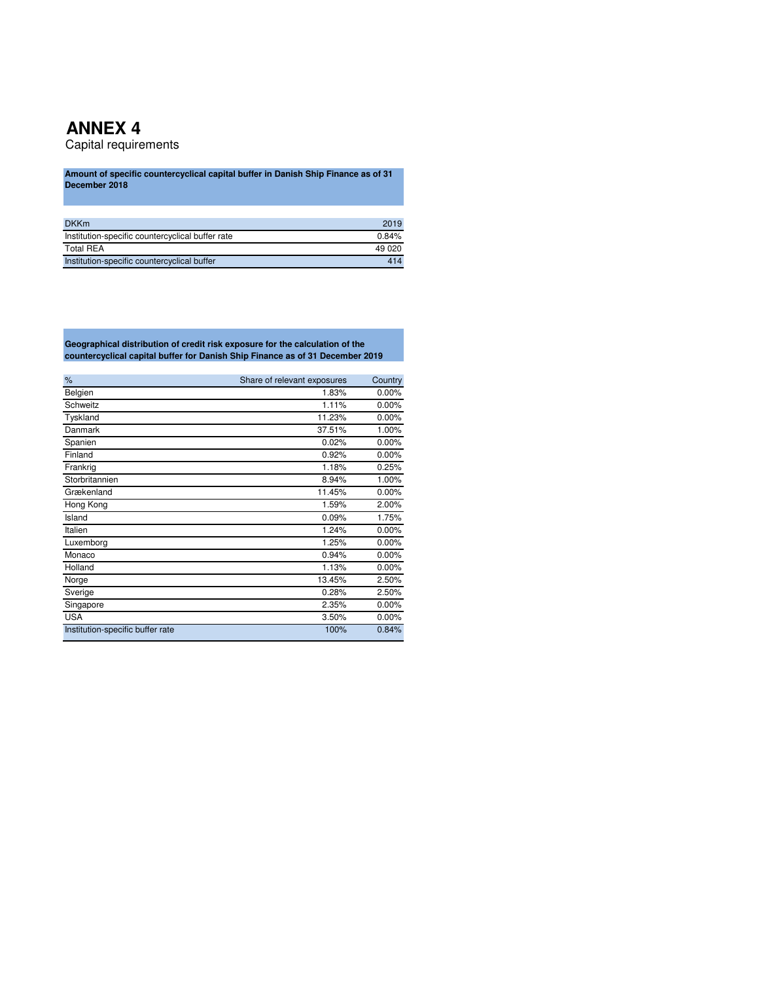Capital requirements

**Amount of specific countercyclical capital buffer in Danish Ship Finance as of 31 December 2018**

| <b>DKKm</b>                                      | 2019   |
|--------------------------------------------------|--------|
| Institution-specific countercyclical buffer rate | 0.84%  |
| <b>Total REA</b>                                 | 49 020 |
| Institution-specific countercyclical buffer      | 414    |

**Geographical distribution of credit risk exposure for the calculation of the countercyclical capital buffer for Danish Ship Finance as of 31 December 2019**

| %                                | Share of relevant exposures | Country |
|----------------------------------|-----------------------------|---------|
| Belgien                          | 1.83%                       | 0.00%   |
| Schweitz                         | 1.11%                       | 0.00%   |
| Tyskland                         | 11.23%                      | 0.00%   |
| Danmark                          | 37.51%                      | 1.00%   |
| Spanien                          | 0.02%                       | 0.00%   |
| Finland                          | 0.92%                       | 0.00%   |
| Frankrig                         | 1.18%                       | 0.25%   |
| Storbritannien                   | 8.94%                       | 1.00%   |
| Grækenland                       | 11.45%                      | 0.00%   |
| Hong Kong                        | 1.59%                       | 2.00%   |
| Island                           | 0.09%                       | 1.75%   |
| Italien                          | 1.24%                       | 0.00%   |
| Luxemborg                        | 1.25%                       | 0.00%   |
| Monaco                           | 0.94%                       | 0.00%   |
| Holland                          | 1.13%                       | 0.00%   |
| Norge                            | 13.45%                      | 2.50%   |
| Sverige                          | 0.28%                       | 2.50%   |
| Singapore                        | 2.35%                       | 0.00%   |
| <b>USA</b>                       | 3.50%                       | 0.00%   |
| Institution-specific buffer rate | 100%                        | 0.84%   |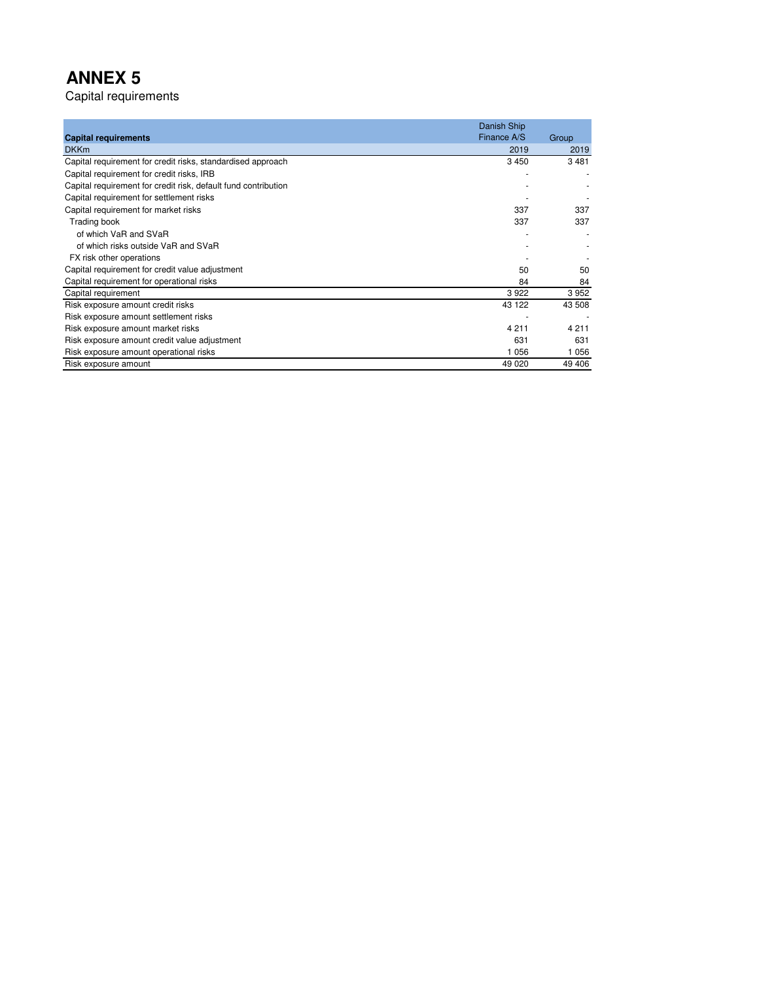Capital requirements

|                                                                | Danish Ship<br>Finance A/S |         |
|----------------------------------------------------------------|----------------------------|---------|
| <b>Capital requirements</b>                                    |                            | Group   |
| <b>DKKm</b>                                                    | 2019                       | 2019    |
| Capital requirement for credit risks, standardised approach    | 3450                       | 3481    |
| Capital requirement for credit risks, IRB                      |                            |         |
| Capital requirement for credit risk, default fund contribution |                            |         |
| Capital requirement for settlement risks                       |                            |         |
| Capital requirement for market risks                           | 337                        | 337     |
| Trading book                                                   | 337                        | 337     |
| of which VaR and SVaR                                          |                            |         |
| of which risks outside VaR and SVaR                            |                            |         |
| FX risk other operations                                       |                            |         |
| Capital requirement for credit value adjustment                | 50                         | 50      |
| Capital requirement for operational risks                      | 84                         | 84      |
| Capital requirement                                            | 3922                       | 3952    |
| Risk exposure amount credit risks                              | 43 122                     | 43 508  |
| Risk exposure amount settlement risks                          |                            |         |
| Risk exposure amount market risks                              | 4 2 1 1                    | 4 2 1 1 |
| Risk exposure amount credit value adjustment                   | 631                        | 631     |
| Risk exposure amount operational risks                         | 1056                       | 1 0 5 6 |
| Risk exposure amount                                           | 49 0 20                    | 49 40 6 |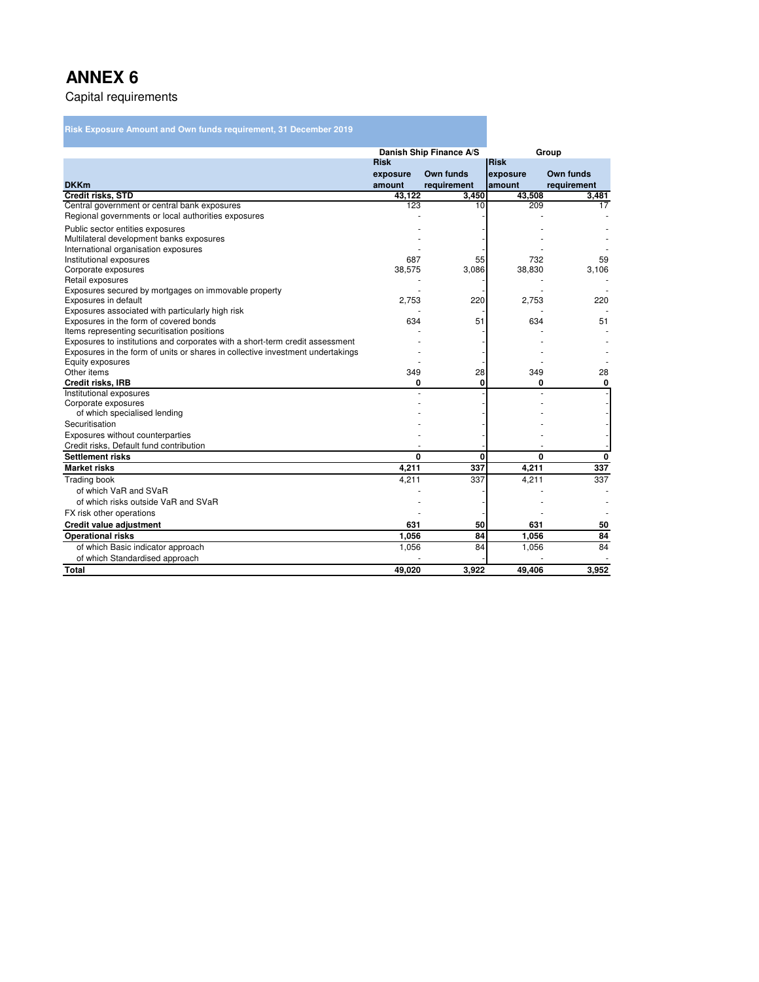### Capital requirements

### **Risk Exposure Amount and Own funds requirement, 31 December 2019**

|                                                                                |             | Danish Ship Finance A/S |             | Group       |
|--------------------------------------------------------------------------------|-------------|-------------------------|-------------|-------------|
|                                                                                | <b>Risk</b> |                         | <b>Risk</b> |             |
|                                                                                | exposure    | Own funds               | exposure    | Own funds   |
| <b>DKKm</b>                                                                    | amount      | requirement             | amount      | requirement |
| <b>Credit risks, STD</b>                                                       | 43.122      | 3,450                   | 43,508      | 3,481       |
| Central government or central bank exposures                                   | 123         | 10                      | 209         | 17          |
| Regional governments or local authorities exposures                            |             |                         |             |             |
| Public sector entities exposures                                               |             |                         |             |             |
| Multilateral development banks exposures                                       |             |                         |             |             |
| International organisation exposures                                           |             |                         |             |             |
| Institutional exposures                                                        | 687         | 55                      | 732         | 59          |
| Corporate exposures                                                            | 38,575      | 3,086                   | 38,830      | 3,106       |
| Retail exposures                                                               |             |                         |             |             |
| Exposures secured by mortgages on immovable property                           |             |                         |             |             |
| Exposures in default                                                           | 2,753       | 220                     | 2,753       | 220         |
| Exposures associated with particularly high risk                               |             |                         |             |             |
| Exposures in the form of covered bonds                                         | 634         | 51                      | 634         | 51          |
| Items representing securitisation positions                                    |             |                         |             |             |
| Exposures to institutions and corporates with a short-term credit assessment   |             |                         |             |             |
| Exposures in the form of units or shares in collective investment undertakings |             |                         |             |             |
| Equity exposures                                                               |             |                         |             |             |
| Other items                                                                    | 349         | 28                      | 349         | 28          |
| <b>Credit risks, IRB</b>                                                       | 0           | 0                       | 0           | 0           |
| Institutional exposures                                                        |             |                         |             |             |
| Corporate exposures                                                            |             |                         |             |             |
| of which specialised lending                                                   |             |                         |             |             |
| Securitisation                                                                 |             |                         |             |             |
| Exposures without counterparties                                               |             |                         |             |             |
| Credit risks, Default fund contribution                                        |             |                         |             |             |
| <b>Settlement risks</b>                                                        | 0           | 0                       | 0           | 0           |
| <b>Market risks</b>                                                            | 4,211       | 337                     | 4,211       | 337         |
| <b>Trading book</b>                                                            | 4,211       | 337                     | 4,211       | 337         |
| of which VaR and SVaR                                                          |             |                         |             |             |
| of which risks outside VaR and SVaR                                            |             |                         |             |             |
| FX risk other operations                                                       |             |                         |             |             |
| Credit value adjustment                                                        | 631         | 50                      | 631         | 50          |
| <b>Operational risks</b>                                                       | 1,056       | 84                      | 1,056       | 84          |
| of which Basic indicator approach                                              | 1,056       | 84                      | 1,056       | 84          |
| of which Standardised approach                                                 |             |                         |             |             |
| <b>Total</b>                                                                   | 49,020      | 3.922                   | 49.406      | 3,952       |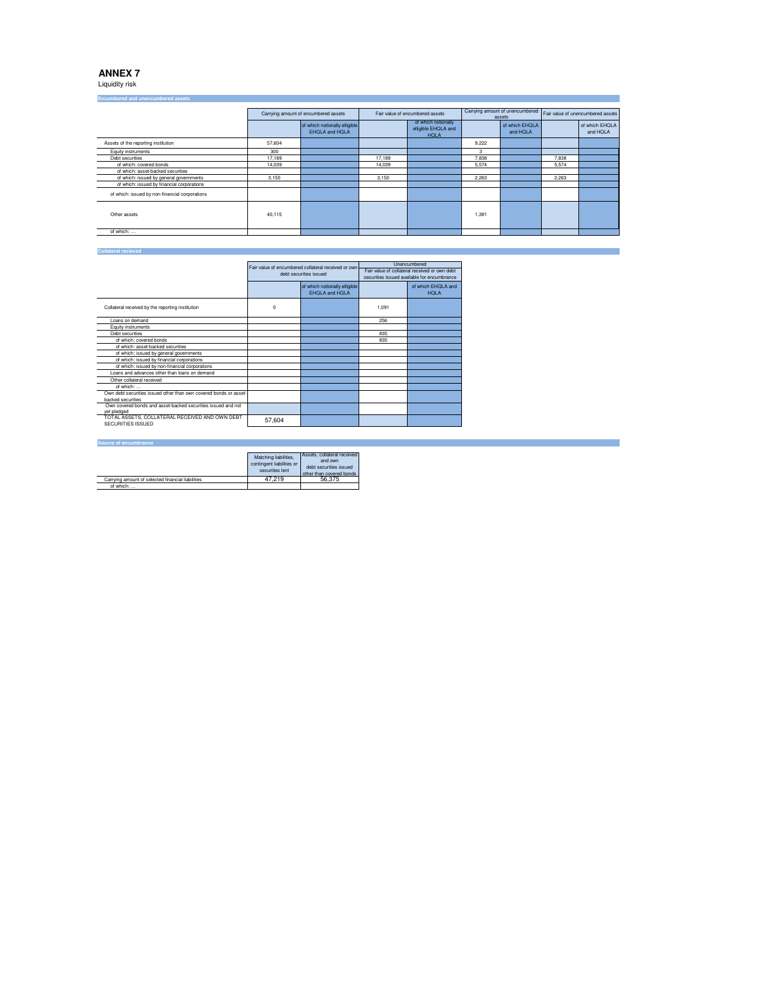Liquidity risk

| <b>LIICUMDETED AND UNENCUMPERED ASSERT</b>     |        |                                                        |        |                                                           |       |                            |       |                                                                   |
|------------------------------------------------|--------|--------------------------------------------------------|--------|-----------------------------------------------------------|-------|----------------------------|-------|-------------------------------------------------------------------|
|                                                |        | Carrying amount of encumbered assets                   |        | Fair value of encumbered assets                           |       | assets                     |       | Carrying amount of unencumbered Fair value of unencumbered assets |
|                                                |        | of which notionally elligible<br><b>EHOLA and HOLA</b> |        | of which notionally<br>elligible EHQLA and<br><b>HOLA</b> |       | of which EHQLA<br>and HOLA |       | of which EHQLA<br>and HQLA                                        |
| Assets of the reporting institution            | 57,604 |                                                        |        |                                                           | 9.222 |                            |       |                                                                   |
| Equity instruments                             | 300    |                                                        |        |                                                           | 3     |                            |       |                                                                   |
| Debt securities                                | 17.189 |                                                        | 17.189 |                                                           | 7,838 |                            | 7.838 |                                                                   |
| of which: covered bonds                        | 14.039 |                                                        | 14.039 |                                                           | 5.574 |                            | 5.574 |                                                                   |
| of which: asset-backed securities              |        |                                                        |        |                                                           |       |                            |       |                                                                   |
| of which: issued by general governments        | 3.150  |                                                        | 3.150  |                                                           | 2.263 |                            | 2.263 |                                                                   |
| of which: issued by financial corporations     |        |                                                        |        |                                                           |       |                            |       |                                                                   |
| of which: issued by non-financial corporations |        |                                                        |        |                                                           |       |                            |       |                                                                   |
| Other assets                                   | 40,115 |                                                        |        |                                                           | 1,381 |                            |       |                                                                   |
| of which:                                      |        |                                                        |        |                                                           |       |                            |       |                                                                   |

#### **Collateral recieved**

|                                                                                        |        | Fair value of encumbered collateral received or own<br>debt securities issued |       | Unencumbered<br>Fair value of collateral received or own debt<br>securities issued available for encumbrance |
|----------------------------------------------------------------------------------------|--------|-------------------------------------------------------------------------------|-------|--------------------------------------------------------------------------------------------------------------|
|                                                                                        |        | of which notionally elligible<br><b>EHOLA and HOLA</b>                        |       | of which EHQLA and<br><b>HOLA</b>                                                                            |
| Collateral received by the reporting institution                                       | 0      |                                                                               | 1,091 |                                                                                                              |
| Loans on demand                                                                        |        |                                                                               | 256   |                                                                                                              |
| Equity instruments                                                                     |        |                                                                               |       |                                                                                                              |
| Debt securities                                                                        |        |                                                                               | 835   |                                                                                                              |
| of which: covered bonds                                                                |        |                                                                               | 835   |                                                                                                              |
| of which: asset-backed securities                                                      |        |                                                                               |       |                                                                                                              |
| of which: issued by general governments                                                |        |                                                                               |       |                                                                                                              |
| of which: issued by financial corporations                                             |        |                                                                               |       |                                                                                                              |
| of which: issued by non-financial corporations                                         |        |                                                                               |       |                                                                                                              |
| Loans and advances other than loans on demand                                          |        |                                                                               |       |                                                                                                              |
| Other collateral received                                                              |        |                                                                               |       |                                                                                                              |
| of which:                                                                              |        |                                                                               |       |                                                                                                              |
| Own debt securities issued other than own covered bonds or asset-<br>backed securities |        |                                                                               |       |                                                                                                              |
| Own covered bonds and asset-backed securities issued and not<br>vet pledged            |        |                                                                               |       |                                                                                                              |
| TOTAL ASSETS. COLLATERAL RECEIVED AND OWN DEBT<br><b>SECURITIES ISSUED</b>             | 57.604 |                                                                               |       |                                                                                                              |

#### **Source of encumbrance**

|                                                   | Matching liabilities.<br>contingent liabilities or<br>securities lent | Assets, collateral received<br>and own<br>debt securities issued<br>other than covered bonds |
|---------------------------------------------------|-----------------------------------------------------------------------|----------------------------------------------------------------------------------------------|
| Carrying amount of selected financial liabilities | 47.219                                                                | 56.375                                                                                       |
| of which:                                         |                                                                       |                                                                                              |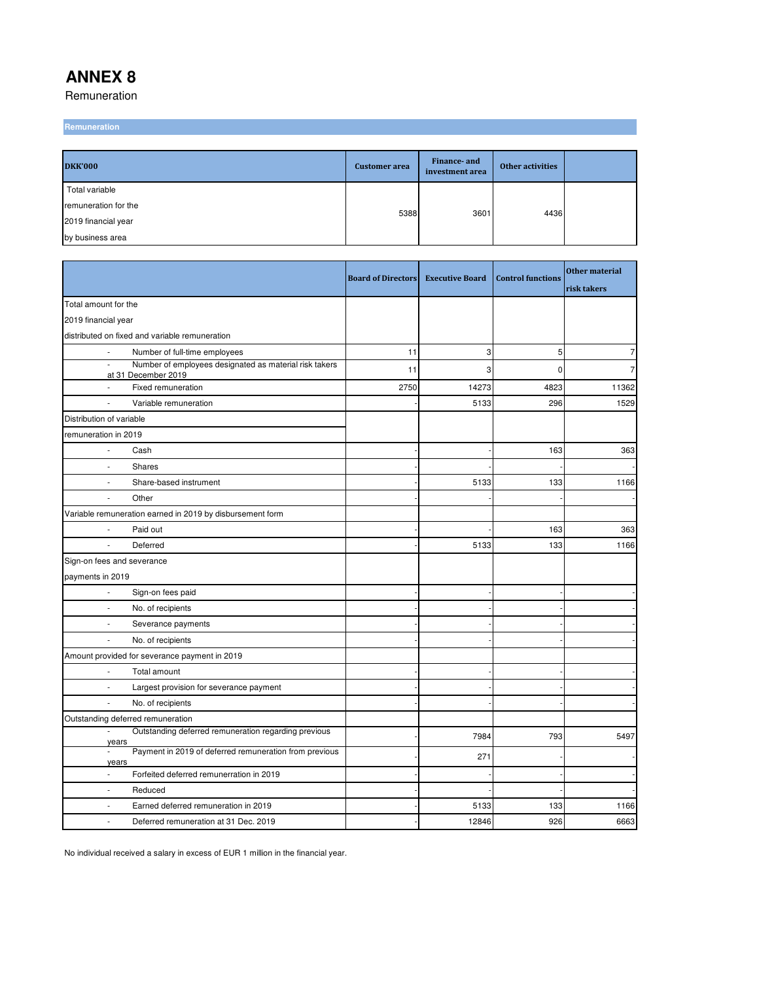Remuneration

**Remuneration**

| <b>DKK'000</b>       | <b>Customer</b> area | Finance- and<br>investment area | <b>Other activities</b> |  |
|----------------------|----------------------|---------------------------------|-------------------------|--|
| Total variable       |                      |                                 |                         |  |
| remuneration for the | 5388                 | 3601                            | 4436                    |  |
| 2019 financial year  |                      |                                 |                         |  |
| by business area     |                      |                                 |                         |  |

|                                                                                           | <b>Board of Directors</b> | <b>Executive Board</b> | <b>Control functions</b> | <b>Other material</b><br>risk takers |
|-------------------------------------------------------------------------------------------|---------------------------|------------------------|--------------------------|--------------------------------------|
| Total amount for the                                                                      |                           |                        |                          |                                      |
| 2019 financial year                                                                       |                           |                        |                          |                                      |
| distributed on fixed and variable remuneration                                            |                           |                        |                          |                                      |
| Number of full-time employees<br>J.                                                       | 11                        | 3                      | 5                        | $\overline{7}$                       |
| Number of employees designated as material risk takers<br>÷,<br>at 31 December 2019       | 11                        | 3                      | $\mathbf 0$              | 7                                    |
| Fixed remuneration                                                                        | 2750                      | 14273                  | 4823                     | 11362                                |
| Variable remuneration<br>÷,                                                               |                           | 5133                   | 296                      | 1529                                 |
| Distribution of variable                                                                  |                           |                        |                          |                                      |
| remuneration in 2019                                                                      |                           |                        |                          |                                      |
| Cash                                                                                      |                           |                        | 163                      | 363                                  |
| Shares                                                                                    |                           |                        |                          |                                      |
| Share-based instrument                                                                    |                           | 5133                   | 133                      | 1166                                 |
| Other                                                                                     |                           |                        |                          |                                      |
| Variable remuneration earned in 2019 by disbursement form                                 |                           |                        |                          |                                      |
| Paid out                                                                                  |                           |                        | 163                      | 363                                  |
| $\overline{\phantom{a}}$<br>Deferred                                                      |                           | 5133                   | 133                      | 1166                                 |
| Sign-on fees and severance                                                                |                           |                        |                          |                                      |
| payments in 2019                                                                          |                           |                        |                          |                                      |
| $\overline{\phantom{a}}$<br>Sign-on fees paid                                             |                           |                        |                          |                                      |
| No. of recipients<br>÷,                                                                   |                           |                        |                          |                                      |
| Severance payments                                                                        |                           |                        |                          |                                      |
| No. of recipients<br>÷.                                                                   |                           |                        |                          |                                      |
| Amount provided for severance payment in 2019                                             |                           |                        |                          |                                      |
| Total amount                                                                              |                           |                        |                          |                                      |
| Largest provision for severance payment                                                   |                           |                        |                          |                                      |
| No. of recipients                                                                         |                           |                        |                          |                                      |
| Outstanding deferred remuneration                                                         |                           |                        |                          |                                      |
| Outstanding deferred remuneration regarding previous<br>$\overline{\phantom{a}}$<br>years |                           | 7984                   | 793                      | 5497                                 |
| Payment in 2019 of deferred remuneration from previous<br>ä,<br>years                     |                           | 271                    |                          |                                      |
| Forfeited deferred remunerration in 2019<br>÷,                                            |                           |                        |                          |                                      |
| Reduced                                                                                   |                           |                        |                          |                                      |
| Earned deferred remuneration in 2019<br>÷                                                 |                           | 5133                   | 133                      | 1166                                 |
| Deferred remuneration at 31 Dec. 2019<br>÷,                                               |                           | 12846                  | 926                      | 6663                                 |

No individual received a salary in excess of EUR 1 million in the financial year.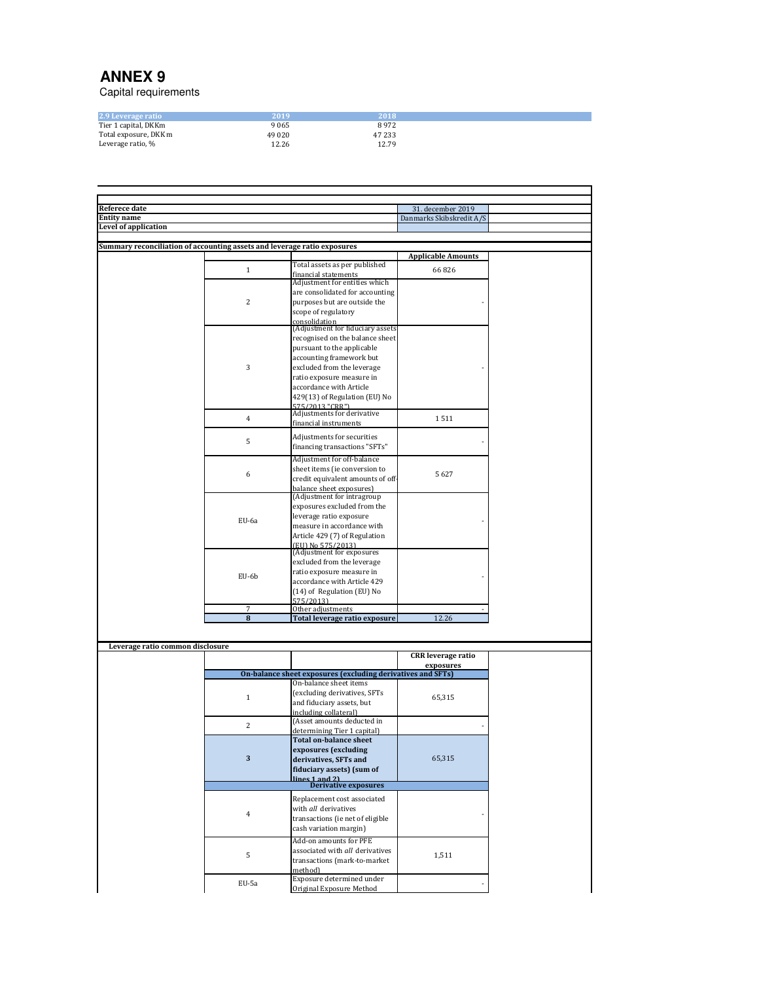Capital requirements

| 2.9 Leverage ratio    | 2019    | 2018   |
|-----------------------|---------|--------|
|                       |         | 8972   |
| Tier 1 capital, DKKm  | 9065    |        |
| Total exposure, DKK m | 49 0 20 | 47 233 |
| Leverage ratio, %     | 12.26   | 12.79  |

| <b>Referece date</b>                                                     |                         |                                                             | 31. december 2019         |  |
|--------------------------------------------------------------------------|-------------------------|-------------------------------------------------------------|---------------------------|--|
| <b>Entity name</b>                                                       |                         |                                                             | Danmarks Skibskredit A/S  |  |
| Level of application                                                     |                         |                                                             |                           |  |
|                                                                          |                         |                                                             |                           |  |
|                                                                          |                         |                                                             |                           |  |
| Summary reconciliation of accounting assets and leverage ratio exposures |                         |                                                             |                           |  |
|                                                                          |                         |                                                             | <b>Applicable Amounts</b> |  |
|                                                                          |                         | Total assets as per published                               |                           |  |
|                                                                          | $\mathbf{1}$            | financial statements                                        | 66826                     |  |
|                                                                          |                         | Adjustment for entities which                               |                           |  |
|                                                                          |                         |                                                             |                           |  |
|                                                                          |                         | are consolidated for accounting                             |                           |  |
|                                                                          | $\overline{c}$          | purposes but are outside the                                |                           |  |
|                                                                          |                         | scope of regulatory                                         |                           |  |
|                                                                          |                         |                                                             |                           |  |
|                                                                          |                         | consolidation<br>(Adjustment for fiduciary assets           |                           |  |
|                                                                          |                         | recognised on the balance sheet                             |                           |  |
|                                                                          |                         |                                                             |                           |  |
|                                                                          |                         | pursuant to the applicable                                  |                           |  |
|                                                                          |                         | accounting framework but                                    |                           |  |
|                                                                          | 3                       | excluded from the leverage                                  |                           |  |
|                                                                          |                         |                                                             |                           |  |
|                                                                          |                         | ratio exposure measure in                                   |                           |  |
|                                                                          |                         | accordance with Article                                     |                           |  |
|                                                                          |                         | 429(13) of Regulation (EU) No                               |                           |  |
|                                                                          |                         | 575/2013 "CRR")                                             |                           |  |
|                                                                          |                         | Adjustments for derivative                                  |                           |  |
|                                                                          | 4                       | financial instruments                                       | 1511                      |  |
|                                                                          |                         |                                                             |                           |  |
|                                                                          |                         | Adjustments for securities                                  |                           |  |
|                                                                          | 5                       | financing transactions "SFTs"                               |                           |  |
|                                                                          |                         |                                                             |                           |  |
|                                                                          |                         | Adjustment for off-balance                                  |                           |  |
|                                                                          |                         | sheet items (ie conversion to                               |                           |  |
|                                                                          | 6                       |                                                             | 5627                      |  |
|                                                                          |                         | credit equivalent amounts of off-                           |                           |  |
|                                                                          |                         | balance sheet exposures)                                    |                           |  |
|                                                                          |                         | (Adjustment for intragroup                                  |                           |  |
|                                                                          |                         | exposures excluded from the                                 |                           |  |
|                                                                          |                         | leverage ratio exposure                                     |                           |  |
|                                                                          | EU-6a                   | measure in accordance with                                  |                           |  |
|                                                                          |                         |                                                             |                           |  |
|                                                                          |                         | Article 429 (7) of Regulation                               |                           |  |
|                                                                          |                         | (EU) No 575/2013)<br>(Adjustment for exposures              |                           |  |
|                                                                          |                         |                                                             |                           |  |
|                                                                          |                         | excluded from the leverage                                  |                           |  |
|                                                                          |                         | ratio exposure measure in                                   |                           |  |
|                                                                          | EU-6b                   |                                                             |                           |  |
|                                                                          |                         | accordance with Article 429                                 |                           |  |
|                                                                          |                         | (14) of Regulation (EU) No                                  |                           |  |
|                                                                          |                         | 575/2013)                                                   |                           |  |
|                                                                          | 7                       | Other adjustments                                           |                           |  |
|                                                                          | $\overline{\mathbf{8}}$ | Total leverage ratio exposure                               | 12.26                     |  |
|                                                                          |                         |                                                             |                           |  |
|                                                                          |                         |                                                             |                           |  |
|                                                                          |                         |                                                             |                           |  |
| Leverage ratio common disclosure                                         |                         |                                                             |                           |  |
|                                                                          |                         |                                                             | <b>CRR</b> leverage ratio |  |
|                                                                          |                         |                                                             | exposures                 |  |
|                                                                          |                         | On-balance sheet exposures (excluding derivatives and SFTs) |                           |  |
|                                                                          |                         | On-balance sheet items                                      |                           |  |
|                                                                          |                         | (excluding derivatives, SFTs                                |                           |  |
|                                                                          | $\mathbf{1}$            |                                                             | 65,315                    |  |
|                                                                          |                         | and fiduciary assets, but                                   |                           |  |
|                                                                          |                         | including collateral)                                       |                           |  |
|                                                                          |                         | (Asset amounts deducted in                                  |                           |  |
|                                                                          | 2                       | determining Tier 1 capital)                                 |                           |  |
|                                                                          |                         | <b>Total on-balance sheet</b>                               |                           |  |
|                                                                          |                         |                                                             |                           |  |
|                                                                          |                         | exposures (excluding                                        |                           |  |
|                                                                          | 3                       | derivatives, SFTs and                                       | 65,315                    |  |
|                                                                          |                         | fiduciary assets) (sum of                                   |                           |  |
|                                                                          |                         | lines 1 and 21                                              |                           |  |
|                                                                          |                         | Derivative exposures                                        |                           |  |
|                                                                          |                         |                                                             |                           |  |
|                                                                          |                         | Replacement cost associated                                 |                           |  |
|                                                                          |                         | with all derivatives                                        |                           |  |
|                                                                          | 4                       | transactions (ie net of eligible                            |                           |  |
|                                                                          |                         |                                                             |                           |  |
|                                                                          |                         | cash variation margin)                                      |                           |  |
|                                                                          |                         | Add-on amounts for PFE                                      |                           |  |
|                                                                          |                         |                                                             |                           |  |
|                                                                          | 5                       | associated with all derivatives                             | 1,511                     |  |
|                                                                          |                         | transactions (mark-to-market                                |                           |  |
|                                                                          |                         | method)                                                     |                           |  |
|                                                                          |                         | Exposure determined under                                   |                           |  |
|                                                                          | EU-5a                   |                                                             |                           |  |
|                                                                          |                         | Original Exposure Method                                    |                           |  |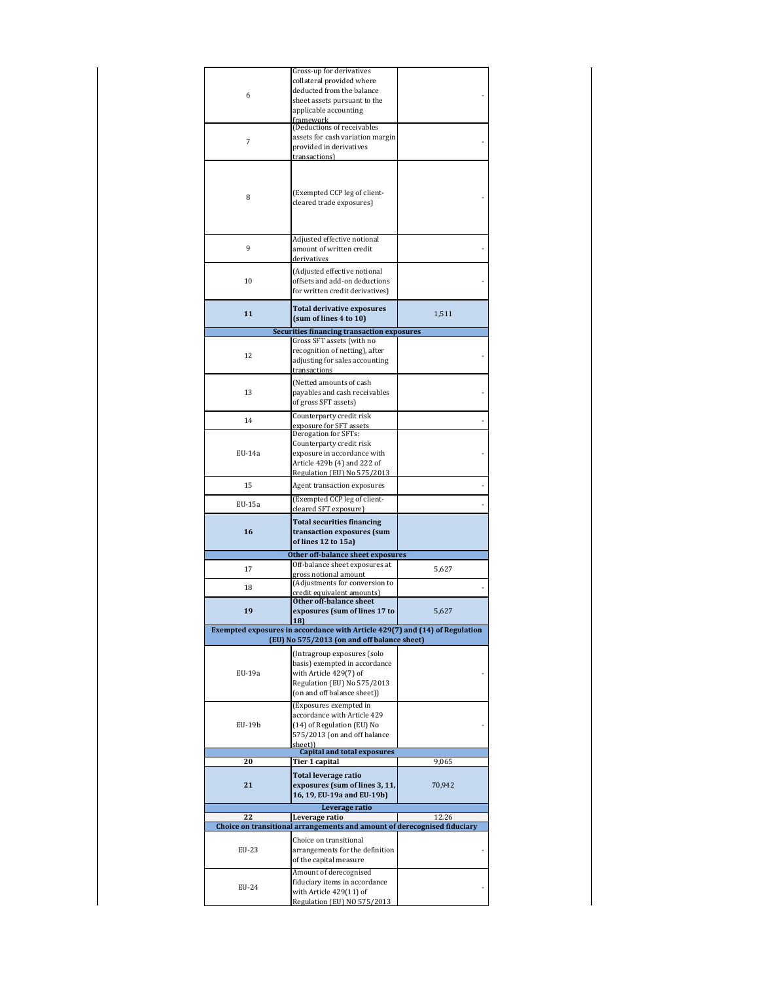| 6<br>7<br>8<br>9 | Gross-up for derivatives<br>collateral provided where<br>deducted from the balance<br>sheet assets pursuant to the<br>applicable accounting<br>framework<br>(Deductions of receivables<br>assets for cash variation margin<br>provided in derivatives<br>transactions)<br>(Exempted CCP leg of client-<br>cleared trade exposures)<br>Adjusted effective notional<br>amount of written credit<br>derivatives |        |
|------------------|--------------------------------------------------------------------------------------------------------------------------------------------------------------------------------------------------------------------------------------------------------------------------------------------------------------------------------------------------------------------------------------------------------------|--------|
| 10               | (Adjusted effective notional<br>offsets and add-on deductions<br>for written credit derivatives)                                                                                                                                                                                                                                                                                                             |        |
| 11               | <b>Total derivative exposures</b><br>(sum of lines 4 to 10)                                                                                                                                                                                                                                                                                                                                                  | 1,511  |
|                  | <b>Securities financing transaction exposures</b>                                                                                                                                                                                                                                                                                                                                                            |        |
| 12               | Gross SFT assets (with no<br>recognition of netting), after<br>adjusting for sales accounting<br>transactions                                                                                                                                                                                                                                                                                                |        |
| 13               | (Netted amounts of cash<br>payables and cash receivables<br>of gross SFT assets)                                                                                                                                                                                                                                                                                                                             |        |
| 14               | Counterparty credit risk<br>exposure for SFT assets                                                                                                                                                                                                                                                                                                                                                          |        |
| EU-14a           | Derogation for SFTs:<br>Counterparty credit risk<br>exposure in accordance with<br>Article 429b (4) and 222 of<br>Regulation (EU) No 575/2013                                                                                                                                                                                                                                                                |        |
| 15               | Agent transaction exposures                                                                                                                                                                                                                                                                                                                                                                                  |        |
| EU-15a           | (Exempted CCP leg of client-<br>cleared SFT exposure)                                                                                                                                                                                                                                                                                                                                                        |        |
| 16               | <b>Total securities financing</b><br>transaction exposures (sum<br>of lines 12 to 15a)<br>Other off-balance sheet exposures                                                                                                                                                                                                                                                                                  |        |
|                  | Off-balance sheet exposures at                                                                                                                                                                                                                                                                                                                                                                               |        |
| 17               | gross notional amount                                                                                                                                                                                                                                                                                                                                                                                        | 5,627  |
| 18               | (Adjustments for conversion to<br>credit equivalent amounts)                                                                                                                                                                                                                                                                                                                                                 |        |
| 19               | Other off-balance sheet<br>exposures (sum of lines 17 to                                                                                                                                                                                                                                                                                                                                                     | 5,627  |
|                  | Exempted exposures in accordance with Article 429(7) and (14) of Regulation<br>(EU) No 575/2013 (on and off balance sheet)                                                                                                                                                                                                                                                                                   |        |
| EU-19a           | (Intragroup exposures (solo<br>basis) exempted in accordance<br>with Article 429(7) of<br>Regulation (EU) No 575/2013<br>(on and off balance sheet))                                                                                                                                                                                                                                                         |        |
| EU-19b           | (Exposures exempted in<br>accordance with Article 429<br>(14) of Regulation (EU) No<br>575/2013 (on and off balance<br>sheet))<br><b>Capital and total exposures</b>                                                                                                                                                                                                                                         |        |
| 20               | <u>Tier 1 capital</u>                                                                                                                                                                                                                                                                                                                                                                                        | 9,065  |
| 21               | Total leverage ratio<br>exposures (sum of lines 3, 11,<br>16, 19, EU-19a and EU-19b)<br>Leverage ratio                                                                                                                                                                                                                                                                                                       | 70,942 |
| 22               | Leverage ratio                                                                                                                                                                                                                                                                                                                                                                                               | 12.26  |
|                  | Choice on transitional arrangements and amount of derecognised fiduciary                                                                                                                                                                                                                                                                                                                                     |        |
| EU-23            | Choice on transitional<br>arrangements for the definition<br>of the capital measure                                                                                                                                                                                                                                                                                                                          |        |
| EU-24            | Amount of derecognised<br>fiduciary items in accordance<br>with Article 429(11) of<br>Regulation (EU) NO 575/2013                                                                                                                                                                                                                                                                                            |        |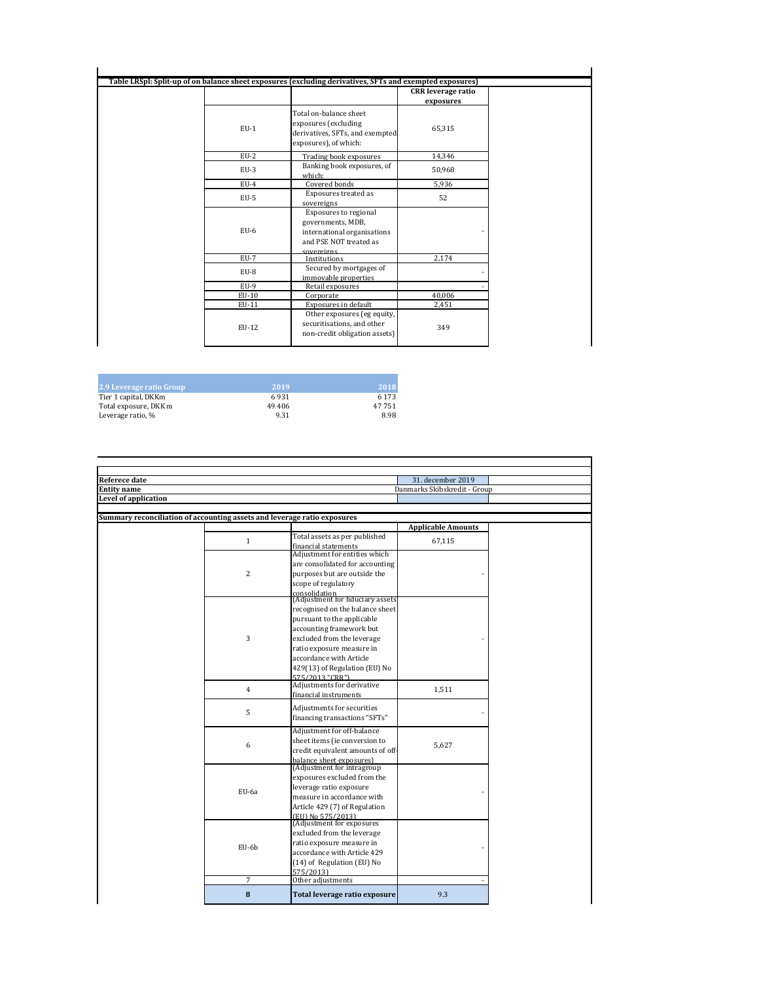|        |                                                                                                                   | <b>CRR</b> leverage ratio |
|--------|-------------------------------------------------------------------------------------------------------------------|---------------------------|
| $EU-1$ | Total on-balance sheet<br>exposures (excluding<br>derivatives, SFTs, and exempted<br>exposures), of which:        | exposures<br>65,315       |
| $EU-2$ | Trading book exposures                                                                                            | 14,346                    |
| $EU-3$ | Banking book exposures, of<br>which:                                                                              | 50,968                    |
| $EU-4$ | Covered bonds                                                                                                     | 5.936                     |
| $EU-5$ | Exposures treated as<br>sovereigns                                                                                | 52                        |
| $EU-6$ | Exposures to regional<br>governments, MDB,<br>international organisations<br>and PSE NOT treated as<br>covereigns |                           |
| $EU-7$ | Institutions                                                                                                      | 2,174                     |
| EU-8   | Secured by mortgages of<br>immovable properties                                                                   |                           |
| $EU-9$ | Retail exposures                                                                                                  |                           |
| EU-10  | Corporate                                                                                                         | 40,006                    |
| EU-11  | Exposures in default                                                                                              | 2,451                     |
| EU-12  | Other exposures (eg equity,<br>securitisations, and other<br>non-credit obligation assets)                        | 349                       |

| 2.9 Leverage ratio Group | 2019   | 2018    |
|--------------------------|--------|---------|
| Tier 1 capital, DKKm     | 6931   | 6 1 7 3 |
| Total exposure, DKK m    | 49 406 | 47 751  |
| Leverage ratio, %        | 9.31   | 8.98    |

| Referece date                                                            |                |                                                        | 31. december 2019            |  |
|--------------------------------------------------------------------------|----------------|--------------------------------------------------------|------------------------------|--|
| <b>Entity name</b>                                                       |                |                                                        | Danmarks Skibskredit - Group |  |
| Level of application                                                     |                |                                                        |                              |  |
|                                                                          |                |                                                        |                              |  |
| Summary reconciliation of accounting assets and leverage ratio exposures |                |                                                        |                              |  |
|                                                                          |                |                                                        | <b>Applicable Amounts</b>    |  |
|                                                                          | $\mathbf{1}$   | Total assets as per published                          | 67,115                       |  |
|                                                                          |                | financial statements<br>Adjustment for entities which  |                              |  |
|                                                                          |                |                                                        |                              |  |
|                                                                          | $\overline{c}$ | are consolidated for accounting                        |                              |  |
|                                                                          |                | purposes but are outside the                           |                              |  |
|                                                                          |                | scope of regulatory                                    |                              |  |
|                                                                          |                | consolidation<br>(Adjustment for fiduciary assets      |                              |  |
|                                                                          |                | recognised on the balance sheet                        |                              |  |
|                                                                          |                | pursuant to the applicable                             |                              |  |
|                                                                          |                | accounting framework but                               |                              |  |
|                                                                          | 3              | excluded from the leverage                             |                              |  |
|                                                                          |                | ratio exposure measure in                              |                              |  |
|                                                                          |                | accordance with Article                                |                              |  |
|                                                                          |                | 429(13) of Regulation (EU) No                          |                              |  |
|                                                                          |                | 575/2013 "CRR")                                        |                              |  |
|                                                                          | $\overline{4}$ | Adjustments for derivative                             |                              |  |
|                                                                          |                | financial instruments                                  | 1,511                        |  |
|                                                                          |                | Adjustments for securities                             |                              |  |
|                                                                          | 5              | financing transactions "SFTs"                          |                              |  |
|                                                                          |                |                                                        |                              |  |
|                                                                          |                | Adjustment for off-balance                             |                              |  |
|                                                                          | 6              | sheet items (ie conversion to                          | 5,627                        |  |
|                                                                          |                | credit equivalent amounts of off-                      |                              |  |
|                                                                          |                | balance sheet exposures)<br>(Adjustment for intragroup |                              |  |
|                                                                          |                | exposures excluded from the                            |                              |  |
|                                                                          |                | leverage ratio exposure                                |                              |  |
|                                                                          | EU-6a          | measure in accordance with                             |                              |  |
|                                                                          |                | Article 429 (7) of Regulation                          |                              |  |
|                                                                          |                | (EU) No 575/2013)                                      |                              |  |
|                                                                          |                | (Adjustment for exposures)                             |                              |  |
|                                                                          |                | excluded from the leverage                             |                              |  |
|                                                                          |                | ratio exposure measure in                              |                              |  |
|                                                                          | EU-6b          | accordance with Article 429                            |                              |  |
|                                                                          |                | (14) of Regulation (EU) No                             |                              |  |
|                                                                          |                | 575/2013)                                              |                              |  |
|                                                                          | 7              | Other adjustments                                      |                              |  |
|                                                                          |                |                                                        |                              |  |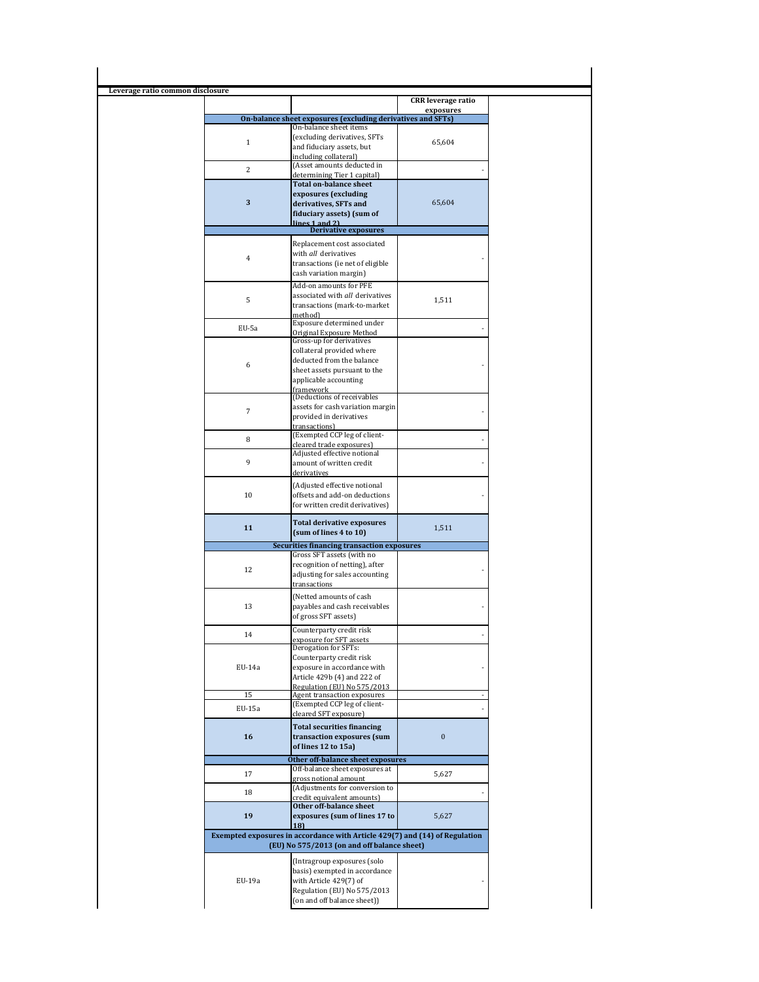| Leverage ratio common disclosure |                                                                                                                            |                                        |
|----------------------------------|----------------------------------------------------------------------------------------------------------------------------|----------------------------------------|
|                                  |                                                                                                                            | <b>CRR</b> leverage ratio<br>exposures |
|                                  | On-balance sheet exposures (excluding derivatives and SFTs)                                                                |                                        |
|                                  | On-balance sheet items                                                                                                     |                                        |
| $\mathbf{1}$                     | (excluding derivatives, SFTs<br>and fiduciary assets, but                                                                  | 65,604                                 |
|                                  | including collateral)                                                                                                      |                                        |
| $\overline{c}$                   | (Asset amounts deducted in                                                                                                 |                                        |
|                                  | determining Tier 1 capital)<br><b>Total on-balance sheet</b>                                                               |                                        |
|                                  | exposures (excluding                                                                                                       |                                        |
| $\mathbf{3}$                     | derivatives, SFTs and                                                                                                      | 65,604                                 |
|                                  | fiduciary assets) (sum of                                                                                                  |                                        |
|                                  | lines 1 and 2)<br><b>Derivative exposures</b>                                                                              |                                        |
|                                  | Replacement cost associated                                                                                                |                                        |
|                                  | with all derivatives                                                                                                       |                                        |
| 4                                | transactions (ie net of eligible                                                                                           |                                        |
|                                  | cash variation margin)                                                                                                     |                                        |
|                                  | Add-on amounts for PFE                                                                                                     |                                        |
| 5                                | associated with all derivatives                                                                                            | 1,511                                  |
|                                  | transactions (mark-to-market                                                                                               |                                        |
|                                  | method)<br>Exposure determined under                                                                                       |                                        |
| EU-5a                            | Original Exposure Method                                                                                                   |                                        |
|                                  | Gross-up for derivatives                                                                                                   |                                        |
|                                  | collateral provided where<br>deducted from the balance                                                                     |                                        |
| 6                                | sheet assets pursuant to the                                                                                               |                                        |
|                                  | applicable accounting                                                                                                      |                                        |
|                                  | framework                                                                                                                  |                                        |
|                                  | (Deductions of receivables<br>assets for cash variation margin                                                             |                                        |
| $\overline{7}$                   | provided in derivatives                                                                                                    |                                        |
|                                  | transactions)                                                                                                              |                                        |
| 8                                | (Exempted CCP leg of client-                                                                                               |                                        |
|                                  | cleared trade exposures)<br>Adjusted effective notional                                                                    |                                        |
| 9                                | amount of written credit                                                                                                   |                                        |
|                                  | derivatives                                                                                                                |                                        |
|                                  | (Adjusted effective notional                                                                                               |                                        |
| 10                               | offsets and add-on deductions                                                                                              |                                        |
|                                  | for written credit derivatives)                                                                                            |                                        |
|                                  | <b>Total derivative exposures</b>                                                                                          |                                        |
| 11                               | (sum of lines 4 to 10)                                                                                                     | 1,511                                  |
|                                  | Securities financing transaction exposures                                                                                 |                                        |
|                                  | Gross SFT assets (with no                                                                                                  |                                        |
| 12                               | recognition of netting), after                                                                                             |                                        |
|                                  | adjusting for sales accounting<br>transactions                                                                             |                                        |
|                                  | (Netted amounts of cash                                                                                                    |                                        |
| 13                               | payables and cash receivables                                                                                              |                                        |
|                                  | of gross SFT assets)                                                                                                       |                                        |
|                                  | Counterparty credit risk                                                                                                   |                                        |
| 14                               | exposure for SFT assets                                                                                                    |                                        |
|                                  | Derogation for SFTs:                                                                                                       |                                        |
| EU-14a                           | Counterparty credit risk<br>exposure in accordance with                                                                    |                                        |
|                                  | Article 429b (4) and 222 of                                                                                                |                                        |
|                                  | Regulation (EU) No 575/2013                                                                                                |                                        |
| 15                               | Agent transaction exposures                                                                                                |                                        |
| EU-15a                           | (Exempted CCP leg of client-<br>cleared SFT exposure)                                                                      |                                        |
|                                  |                                                                                                                            |                                        |
| 16                               | <b>Total securities financing</b><br>transaction exposures (sum                                                            | $\boldsymbol{0}$                       |
|                                  | of lines 12 to 15a)                                                                                                        |                                        |
|                                  | Other off-balance sheet exposures                                                                                          |                                        |
|                                  | Off-balance sheet exposures at                                                                                             |                                        |
| 17                               | gross notional amount                                                                                                      | 5,627                                  |
| 18                               | (Adjustments for conversion to                                                                                             |                                        |
|                                  | credit equivalent amounts)<br>Other off-balance sheet                                                                      |                                        |
| 19                               | exposures (sum of lines 17 to                                                                                              | 5,627                                  |
|                                  | 18)                                                                                                                        |                                        |
|                                  | Exempted exposures in accordance with Article 429(7) and (14) of Regulation<br>(EU) No 575/2013 (on and off balance sheet) |                                        |
|                                  | (Intragroup exposures (solo                                                                                                |                                        |
|                                  | basis) exempted in accordance                                                                                              |                                        |
|                                  |                                                                                                                            |                                        |
| EU-19a                           | with Article 429(7) of                                                                                                     |                                        |
|                                  | Regulation (EU) No 575/2013<br>(on and off balance sheet))                                                                 |                                        |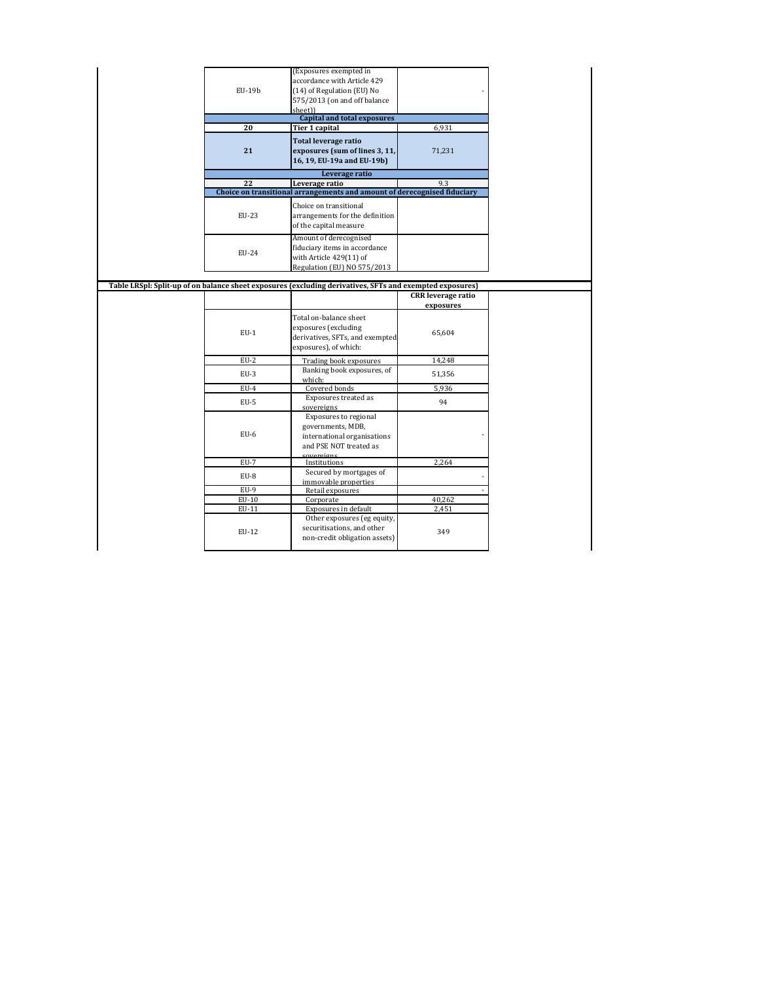|          | (Exposures exempted in                                                                                   |                           |
|----------|----------------------------------------------------------------------------------------------------------|---------------------------|
|          | accordance with Article 429                                                                              |                           |
| $EU-19b$ | (14) of Regulation (EU) No                                                                               |                           |
|          | 575/2013 (on and off balance                                                                             |                           |
|          | sheet))                                                                                                  |                           |
|          | <b>Capital and total exposures</b>                                                                       |                           |
| 20       | Tier 1 capital                                                                                           | 6,931                     |
|          | <b>Total leverage ratio</b>                                                                              |                           |
| 21       | exposures (sum of lines 3, 11,                                                                           | 71,231                    |
|          | 16, 19, EU-19a and EU-19b)                                                                               |                           |
|          | Leverage ratio                                                                                           |                           |
| 22       | Leverage ratio                                                                                           | 9.3                       |
|          | Choice on transitional arrangements and amount of derecognised fiduciary                                 |                           |
|          |                                                                                                          |                           |
|          | Choice on transitional                                                                                   |                           |
| EU-23    | arrangements for the definition                                                                          |                           |
|          | of the capital measure                                                                                   |                           |
|          | Amount of derecognised                                                                                   |                           |
|          | fiduciary items in accordance                                                                            |                           |
| EU-24    | with Article 429(11) of                                                                                  |                           |
|          | Regulation (EU) NO 575/2013                                                                              |                           |
|          |                                                                                                          |                           |
|          | Table LRSpl: Split-up of on balance sheet exposures (excluding derivatives, SFTs and exempted exposures) |                           |
|          |                                                                                                          | <b>CRR</b> leverage ratio |
|          |                                                                                                          | exposures                 |
|          | Total on-balance sheet                                                                                   |                           |
|          | exposures (excluding                                                                                     |                           |
| $EU-1$   | derivatives, SFTs, and exempted                                                                          | 65,604                    |
|          | exposures), of which:                                                                                    |                           |
|          |                                                                                                          |                           |
| $EU-2$   | Trading book exposures                                                                                   | 14,248                    |
| EU-3     | Banking book exposures, of                                                                               | 51,356                    |
|          | which:                                                                                                   |                           |
| EU-4     | Covered bonds                                                                                            | 5,936                     |
| EU-5     | Exposures treated as                                                                                     | 94                        |
|          | sovereigns                                                                                               |                           |
|          | Exposures to regional                                                                                    |                           |
|          | governments, MDB,                                                                                        |                           |
| $EU-6$   | international organisations                                                                              |                           |
|          | and PSE NOT treated as                                                                                   |                           |
| $EU-7$   | <u>covereigns</u>                                                                                        | 2,264                     |
|          | Institutions<br>Secured by mortgages of                                                                  |                           |
| EU-8     |                                                                                                          |                           |
| $EU-9$   | immovable properties<br>Retail exposures                                                                 |                           |
| $EU-10$  | Corporate                                                                                                | 40,262                    |
| EU-11    | Exposures in default                                                                                     | 2,451                     |
|          | Other exposures (eg equity,                                                                              |                           |
|          |                                                                                                          |                           |
| EU-12    | securitisations, and other                                                                               | 349                       |
|          | non-credit obligation assets)                                                                            |                           |
|          |                                                                                                          |                           |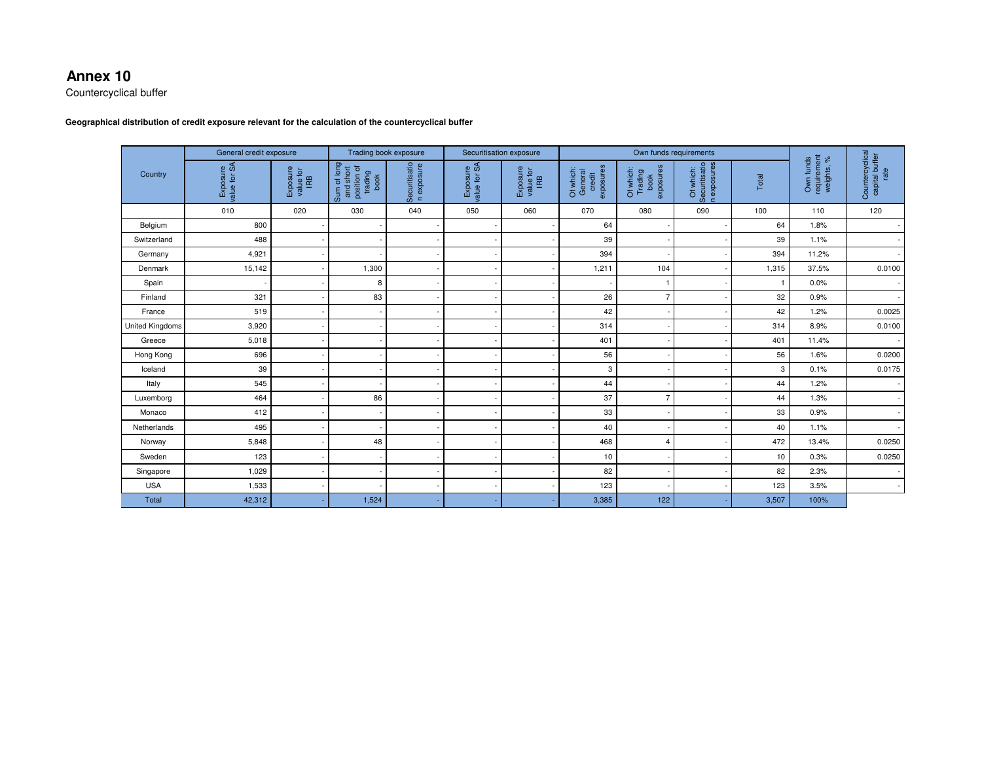### **Annex 10**

Countercyclical buffer

#### **Geographical distribution of credit exposure relevant for the calculation of the countercyclical buffer**

|                        | General credit exposure  |                              | Trading book exposure                                      |                             | Securitisation exposure  |                              | Own funds requirements                      |                                           |                                           |       |                                        |                                           |
|------------------------|--------------------------|------------------------------|------------------------------------------------------------|-----------------------------|--------------------------|------------------------------|---------------------------------------------|-------------------------------------------|-------------------------------------------|-------|----------------------------------------|-------------------------------------------|
| Country                | Exposure<br>value for SA | Exposure<br>value for<br>IRB | Sum of long<br>and short<br>position of<br>trading<br>book | Securitisatio<br>n exposure | Exposure<br>value for SA | Exposure<br>value for<br>IRB | sennsodxe<br>Of which:<br>General<br>credit | book<br>exposures<br>Of which:<br>Trading | Securitisatio<br>n exposures<br>Of which: | Total | Own funds<br>requirement<br>weights, % | Countercyclical<br>capital buffer<br>rate |
|                        | 010                      | 020                          | 030                                                        | 040                         | 050                      | 060                          | 070                                         | 080                                       | 090                                       | 100   | 110                                    | 120                                       |
| Belgium                | 800                      |                              |                                                            |                             |                          |                              | 64                                          |                                           |                                           | 64    | 1.8%                                   |                                           |
| Switzerland            | 488                      |                              |                                                            |                             |                          |                              | 39                                          |                                           |                                           | 39    | 1.1%                                   |                                           |
| Germany                | 4,921                    |                              |                                                            |                             |                          |                              | 394                                         |                                           |                                           | 394   | 11.2%                                  |                                           |
| Denmark                | 15,142                   |                              | 1,300                                                      |                             |                          |                              | 1,211                                       | 104                                       |                                           | 1,315 | 37.5%                                  | 0.0100                                    |
| Spain                  |                          |                              | 8                                                          |                             |                          |                              |                                             | 1                                         |                                           | 1     | 0.0%                                   | $\overline{\phantom{a}}$                  |
| Finland                | 321                      |                              | 83                                                         |                             |                          |                              | 26                                          | $\overline{7}$                            |                                           | 32    | 0.9%                                   |                                           |
| France                 | 519                      |                              |                                                            |                             |                          |                              | 42                                          |                                           |                                           | 42    | 1.2%                                   | 0.0025                                    |
| <b>United Kingdoms</b> | 3,920                    |                              |                                                            |                             |                          |                              | 314                                         |                                           |                                           | 314   | 8.9%                                   | 0.0100                                    |
| Greece                 | 5,018                    |                              |                                                            |                             |                          |                              | 401                                         |                                           |                                           | 401   | 11.4%                                  |                                           |
| Hong Kong              | 696                      |                              |                                                            |                             |                          |                              | 56                                          |                                           |                                           | 56    | 1.6%                                   | 0.0200                                    |
| Iceland                | 39                       |                              |                                                            |                             |                          |                              | 3                                           |                                           |                                           | 3     | 0.1%                                   | 0.0175                                    |
| Italy                  | 545                      |                              |                                                            |                             |                          |                              | 44                                          |                                           |                                           | 44    | 1.2%                                   |                                           |
| Luxemborg              | 464                      |                              | 86                                                         |                             |                          |                              | 37                                          | $\overline{7}$                            |                                           | 44    | 1.3%                                   |                                           |
| Monaco                 | 412                      |                              |                                                            |                             |                          |                              | 33                                          |                                           |                                           | 33    | 0.9%                                   |                                           |
| Netherlands            | 495                      |                              |                                                            |                             |                          |                              | 40                                          |                                           |                                           | 40    | 1.1%                                   |                                           |
| Norway                 | 5,848                    |                              | 48                                                         |                             |                          |                              | 468                                         | 4                                         |                                           | 472   | 13.4%                                  | 0.0250                                    |
| Sweden                 | 123                      |                              |                                                            |                             |                          |                              | 10                                          |                                           |                                           | 10    | 0.3%                                   | 0.0250                                    |
| Singapore              | 1,029                    |                              |                                                            |                             |                          |                              | 82                                          |                                           |                                           | 82    | 2.3%                                   |                                           |
| <b>USA</b>             | 1,533                    |                              |                                                            |                             |                          |                              | 123                                         |                                           |                                           | 123   | 3.5%                                   | $\sim$                                    |
| <b>Total</b>           | 42,312                   |                              | 1,524                                                      |                             |                          |                              | 3,385                                       | 122                                       |                                           | 3,507 | 100%                                   |                                           |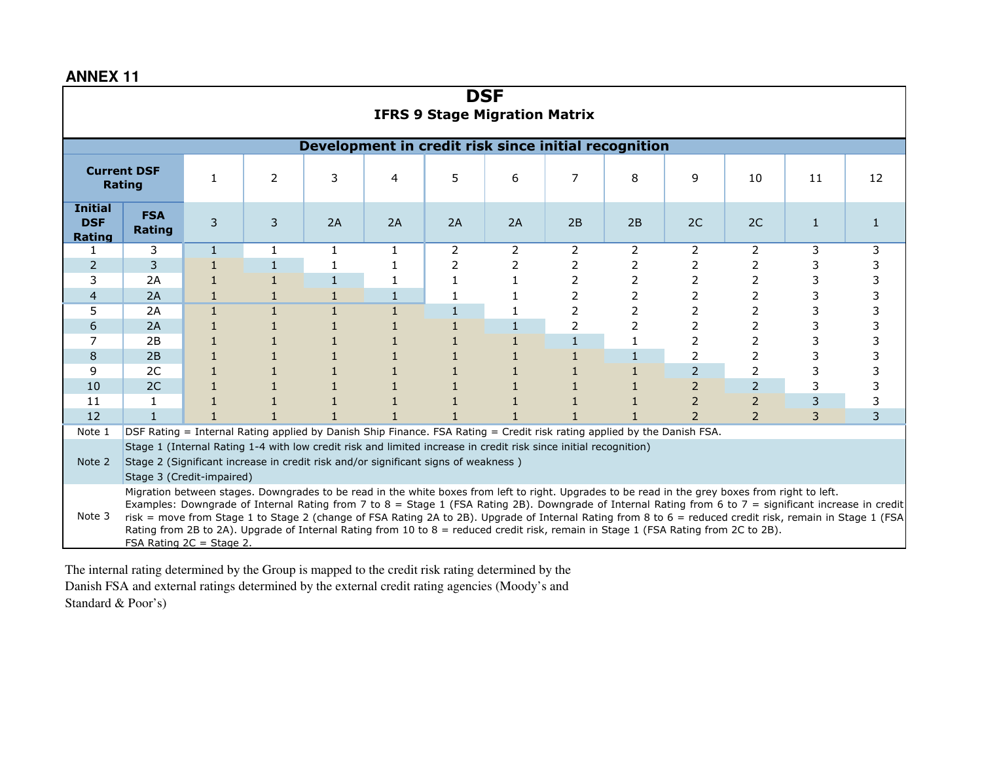| <b>DSF</b><br><b>IFRS 9 Stage Migration Matrix</b>                                                                                                                                                                                                                                                                                                                                                                                                                                                                                                                                                                                                       |                      |              |              |                                                      |              |    |    |    |                |                          |                |   |   |
|----------------------------------------------------------------------------------------------------------------------------------------------------------------------------------------------------------------------------------------------------------------------------------------------------------------------------------------------------------------------------------------------------------------------------------------------------------------------------------------------------------------------------------------------------------------------------------------------------------------------------------------------------------|----------------------|--------------|--------------|------------------------------------------------------|--------------|----|----|----|----------------|--------------------------|----------------|---|---|
|                                                                                                                                                                                                                                                                                                                                                                                                                                                                                                                                                                                                                                                          |                      |              |              | Development in credit risk since initial recognition |              |    |    |    |                |                          |                |   |   |
| <b>Current DSF</b><br>5<br>$\overline{7}$<br>2<br>3<br>6<br>8<br>9<br>$\mathbf{1}$<br>10<br>11<br>12<br>4<br><b>Rating</b>                                                                                                                                                                                                                                                                                                                                                                                                                                                                                                                               |                      |              |              |                                                      |              |    |    |    |                |                          |                |   |   |
| <b>Initial</b><br><b>DSF</b><br><b>Rating</b>                                                                                                                                                                                                                                                                                                                                                                                                                                                                                                                                                                                                            | <b>FSA</b><br>Rating | 3            | 3            | 2A                                                   | 2A           | 2A | 2A | 2B | 2B             | 2C                       | 2C             | 1 |   |
| $\mathbf{1}$                                                                                                                                                                                                                                                                                                                                                                                                                                                                                                                                                                                                                                             | 3                    | $\mathbf{1}$ | $\mathbf{1}$ | 1                                                    | 1            | 2  | 2  | 2  | 2              | 2                        | 2              | 3 | 3 |
| $\overline{2}$                                                                                                                                                                                                                                                                                                                                                                                                                                                                                                                                                                                                                                           | 3                    |              |              |                                                      |              | 2  |    | 2  | 2              | 2                        | 2              |   | 3 |
| 3                                                                                                                                                                                                                                                                                                                                                                                                                                                                                                                                                                                                                                                        | 2A                   |              | $\mathbf{1}$ | $\mathbf{1}$                                         |              | 1  |    | 2  | $\overline{2}$ | 2                        | 2              | 3 | 3 |
| $\overline{4}$                                                                                                                                                                                                                                                                                                                                                                                                                                                                                                                                                                                                                                           | 2A                   |              |              | $\mathbf{1}$                                         |              | 1  |    | 2  | $\overline{2}$ |                          | 2              |   | 3 |
| 5                                                                                                                                                                                                                                                                                                                                                                                                                                                                                                                                                                                                                                                        | 2A                   | $\mathbf{1}$ | $\mathbf{1}$ | $\mathbf{1}$                                         | $\mathbf{1}$ | 1  |    | 2  | $\overline{2}$ | 2                        | 2              | 3 | 3 |
| 6                                                                                                                                                                                                                                                                                                                                                                                                                                                                                                                                                                                                                                                        | 2A                   |              |              |                                                      |              |    |    | 2  | 2              | フ                        | 2              |   | 3 |
|                                                                                                                                                                                                                                                                                                                                                                                                                                                                                                                                                                                                                                                          | 2B                   |              |              |                                                      |              |    |    |    |                |                          | 2              |   |   |
| 8                                                                                                                                                                                                                                                                                                                                                                                                                                                                                                                                                                                                                                                        | 2B                   |              |              |                                                      |              |    |    |    | $\mathbf{1}$   | 2                        | 2              | 3 | 3 |
| 9                                                                                                                                                                                                                                                                                                                                                                                                                                                                                                                                                                                                                                                        | 2C                   |              |              |                                                      |              |    |    |    |                | $\overline{2}$           | 2              |   | 3 |
| 10                                                                                                                                                                                                                                                                                                                                                                                                                                                                                                                                                                                                                                                       | 2C                   |              |              |                                                      |              |    |    |    |                | 2                        | $\overline{2}$ | 3 | 3 |
| 11                                                                                                                                                                                                                                                                                                                                                                                                                                                                                                                                                                                                                                                       |                      |              |              |                                                      |              |    |    |    |                | $\overline{2}$           | $\overline{2}$ | 3 | 3 |
| 12                                                                                                                                                                                                                                                                                                                                                                                                                                                                                                                                                                                                                                                       | $\mathbf{1}$         |              |              |                                                      |              |    |    |    |                | $\overline{\phantom{0}}$ | $\overline{z}$ | 3 | 3 |
| DSF Rating = Internal Rating applied by Danish Ship Finance. FSA Rating = Credit risk rating applied by the Danish FSA.<br>Note 1                                                                                                                                                                                                                                                                                                                                                                                                                                                                                                                        |                      |              |              |                                                      |              |    |    |    |                |                          |                |   |   |
| Stage 1 (Internal Rating 1-4 with low credit risk and limited increase in credit risk since initial recognition)<br>Stage 2 (Significant increase in credit risk and/or significant signs of weakness)<br>Note 2<br>Stage 3 (Credit-impaired)                                                                                                                                                                                                                                                                                                                                                                                                            |                      |              |              |                                                      |              |    |    |    |                |                          |                |   |   |
| Migration between stages. Downgrades to be read in the white boxes from left to right. Upgrades to be read in the grey boxes from right to left.<br>Examples: Downgrade of Internal Rating from 7 to 8 = Stage 1 (FSA Rating 2B). Downgrade of Internal Rating from 6 to 7 = significant increase in credit<br>Note 3<br>risk = move from Stage 1 to Stage 2 (change of FSA Rating 2A to 2B). Upgrade of Internal Rating from 8 to 6 = reduced credit risk, remain in Stage 1 (FSA)<br>Rating from 2B to 2A). Upgrade of Internal Rating from 10 to 8 = reduced credit risk, remain in Stage 1 (FSA Rating from 2C to 2B).<br>FSA Rating $2C =$ Stage 2. |                      |              |              |                                                      |              |    |    |    |                |                          |                |   |   |

The internal rating determined by the Group is mapped to the credit risk rating determined by the Danish FSA and external ratings determined by the external credit rating agencies (Moody's and Standard & Poor's)